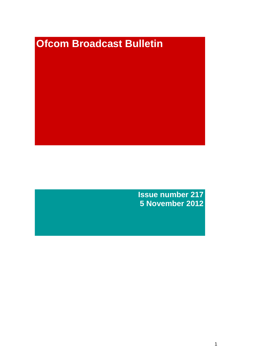# **Ofcom Broadcast Bulletin**

**Issue number 217 5 November 2012**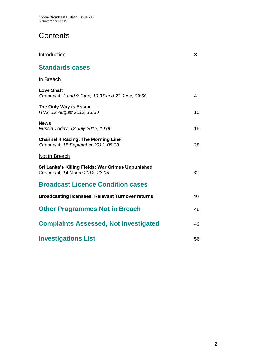# **Contents**

| Introduction                                                                         | 3  |
|--------------------------------------------------------------------------------------|----|
| <b>Standards cases</b>                                                               |    |
| <b>In Breach</b>                                                                     |    |
| <b>Love Shaft</b><br>Channel 4, 2 and 9 June, 10:35 and 23 June, 09:50               | 4  |
| The Only Way is Essex<br>ITV2, 12 August 2012, 13:30                                 | 10 |
| <b>News</b><br>Russia Today, 12 July 2012, 10:00                                     | 15 |
| <b>Channel 4 Racing: The Morning Line</b><br>Channel 4, 15 September 2012, 08:00     | 28 |
| Not in Breach                                                                        |    |
| Sri Lanka's Killing Fields: War Crimes Unpunished<br>Channel 4, 14 March 2012, 23:05 | 32 |
| <b>Broadcast Licence Condition cases</b>                                             |    |
| <b>Broadcasting licensees' Relevant Turnover returns</b>                             | 46 |
| <b>Other Programmes Not in Breach</b>                                                | 48 |
| <b>Complaints Assessed, Not Investigated</b>                                         | 49 |
| <b>Investigations List</b>                                                           | 56 |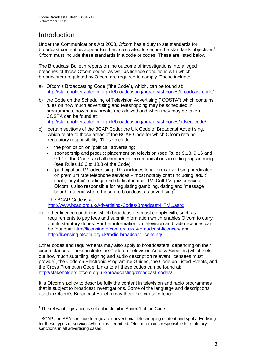# **Introduction**

Under the Communications Act 2003, Ofcom has a duty to set standards for broadcast content as appear to it best calculated to secure the standards objectives<sup>1</sup>, Ofcom must include these standards in a code or codes. These are listed below.

The Broadcast Bulletin reports on the outcome of investigations into alleged breaches of those Ofcom codes, as well as licence conditions with which broadcasters regulated by Ofcom are required to comply. These include:

- a) Ofcom's Broadcasting Code ("the Code"), which, can be found at: [http://stakeholders.ofcom.org.uk/broadcasting/broadcast-codes/broadcast-code/.](http://stakeholders.ofcom.org.uk/broadcasting/broadcast-codes/broadcast-code/)
- b) the Code on the Scheduling of Television Advertising ("COSTA") which contains rules on how much advertising and teleshopping may be scheduled in programmes, how many breaks are allowed and when they may be taken. COSTA can be found at:

[http://stakeholders.ofcom.org.uk/broadcasting/broadcast-codes/advert-code/.](http://stakeholders.ofcom.org.uk/broadcasting/broadcast-codes/advert-code/)

- c) certain sections of the BCAP Code: the UK Code of Broadcast Advertising, which relate to those areas of the BCAP Code for which Ofcom retains regulatory responsibility. These include:
	- the prohibition on 'political' advertising;
	- sponsorship and product placement on television (see Rules 9.13, 9.16 and 9.17 of the Code) and all commercial communications in radio programming (see Rules 10.6 to 10.8 of the Code);
	- 'participation TV' advertising. This includes long-form advertising predicated on premium rate telephone services – most notably chat (including 'adult' chat), 'psychic' readings and dedicated quiz TV (Call TV quiz services). Ofcom is also responsible for regulating gambling, dating and 'message board' material where these are broadcast as advertising<sup>2</sup>.

The BCAP Code is at: <http://www.bcap.org.uk/Advertising-Codes/Broadcast-HTML.aspx>

d) other licence conditions which broadcasters must comply with, such as requirements to pay fees and submit information which enables Ofcom to carry out its statutory duties. Further information on television and radio licences can be found at:<http://licensing.ofcom.org.uk/tv-broadcast-licences/> and [http://licensing.ofcom.org.uk/radio-broadcast-licensing/.](http://licensing.ofcom.org.uk/radio-broadcast-licensing/)

Other codes and requirements may also apply to broadcasters, depending on their circumstances. These include the Code on Television Access Services (which sets out how much subtitling, signing and audio description relevant licensees must provide), the Code on Electronic Programme Guides, the Code on Listed Events, and the Cross Promotion Code. Links to all these codes can be found at: <http://stakeholders.ofcom.org.uk/broadcasting/broadcast-codes/>

It is Ofcom's policy to describe fully the content in television and radio programmes that is subject to broadcast investigations. Some of the language and descriptions used in Ofcom's Broadcast Bulletin may therefore cause offence.

<sup>1</sup>  $1$  The relevant legislation is set out in detail in Annex 1 of the Code.

 $2$  BCAP and ASA continue to regulate conventional teleshopping content and spot advertising for these types of services where it is permitted. Ofcom remains responsible for statutory sanctions in all advertising cases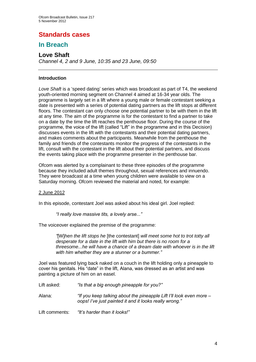## **Standards cases**

## **In Breach**

## **Love Shaft**

*Channel 4, 2 and 9 June, 10:35 and 23 June, 09:50*

#### **Introduction**

Love Shaft is a 'speed dating' series which was broadcast as part of T4, the weekend youth-oriented morning segment on Channel 4 aimed at 16-34 year olds. The programme is largely set in a lift where a young male or female contestant seeking a date is presented with a series of potential dating partners as the lift stops at different floors. The contestant can only choose one potential partner to be with them in the lift at any time. The aim of the programme is for the contestant to find a partner to take on a date by the time the lift reaches the penthouse floor. During the course of the programme, the voice of the lift (called "Lift" in the programme and in this Decision) discusses events in the lift with the contestants and their potential dating partners, and makes comments about the participants. Meanwhile from the penthouse the family and friends of the contestants monitor the progress of the contestants in the lift, consult with the contestant in the lift about their potential partners, and discuss the events taking place with the programme presenter in the penthouse bar.

Ofcom was alerted by a complainant to these three episodes of the programme because they included adult themes throughout, sexual references and innuendo. They were broadcast at a time when young children were available to view on a Saturday morning. Ofcom reviewed the material and noted, for example:

#### 2 June 2012

In this episode, contestant Joel was asked about his ideal girl. Joel replied:

*"I really love massive tits, a lovely arse..."* 

The voiceover explained the premise of the programme:

*"*[W]*hen the lift stops he* [the contestant] *will meet some hot to trot totty all desperate for a date in the lift with him but there is no room for a threesome...he will have a chance of a dream date with whoever is in the lift with him whether they are a stunner or a bummer."*

Joel was featured lying back naked on a couch in the lift holding only a pineapple to cover his genitals. His "date" in the lift, Alana, was dressed as an artist and was painting a picture of him on an easel.

Lift asked: *"Is that a big enough pineapple for you?"*

Alana: *"If you keep talking about the pineapple Lift I'll look even more – oops! I've just painted it and it looks really wrong."*

Lift comments: *"It's harder than it looks!"*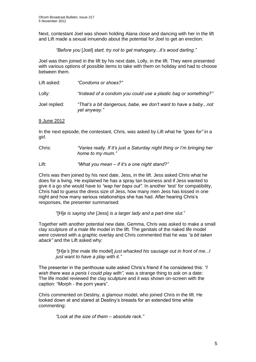Next, contestant Joel was shown holding Alana close and dancing with her in the lift and Lift made a sexual innuendo about the potential for Joel to get an erection:

*"Before you* [Joel] *start, try not to get mahogany...it's wood darling."*

Joel was then joined in the lift by his next date, Lolly, in the lift. They were presented with various options of possible items to take with them on holiday and had to choose between them.

| Lift asked:   | "Condoms or shoes?"                                                            |
|---------------|--------------------------------------------------------------------------------|
| Lolly:        | "Instead of a condom you could use a plastic bag or something?"                |
| Joel replied: | "That's a bit dangerous, babe, we don't want to have a babynot<br>yet anyway." |

#### 9 June 2012

In the next episode, the contestant, Chris, was asked by Lift what he *"goes for"* in a girl.

Chris: *"Varies really. If it's just a Saturday night thing or I'm bringing her home to my mum."*

Lift: *"What you mean – if it's a one night stand?"*

Chris was then joined by his next date, Jess, in the lift. Jess asked Chris what he does for a living. He explained he has a spray tan business and if Jess wanted to give it a go she would have to *"wap her baps out".* In another 'test' for compatibility, Chris had to guess the dress size of Jess, how many men Jess has kissed in one night and how many serious relationships she has had. After hearing Chris's responses, the presenter summarised:

"[H]*e is saying she* [Jess] *is a larger lady and a part-time slut.*"

Together with another potential new date, Gemma, Chris was asked to make a small clay sculpture of a male life model in the lift. The genitals of the naked life model were covered with a graphic overlay and Chris commented that he was *"a bit taken aback"* and the Lift asked why:

*"*[H]*e's* [the male life model] *just whacked his sausage out in front of me...I just want to have a play with it."*

The presenter in the penthouse suite asked Chris's friend if he considered this: *"I wish there was a penis I could play with",* was a strange thing to ask on a date: The life model reviewed the clay sculpture and it was shown on-screen with the caption: "Morph - the porn years".

Chris commented on Destiny, a glamour model, who joined Chris in the lift. He looked down at and stared at Destiny's breasts for an extended time while commenting:

*"Look at the size of them – absolute rack."*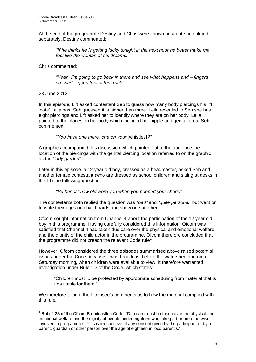At the end of the programme Destiny and Chris were shown on a date and filmed separately. Destiny commented:

*"If he thinks he is getting lucky tonight in the next hour he better make me feel like the woman of his dreams."*

Chris commented:

*"Yeah, I'm going to go back in there and see what happens and – fingers crossed – get a feel of that rack."*

#### 23 June 2012

1

In this episode, Lift asked contestant Seb to guess how many body piercings his lift 'date' Leila has. Seb guessed it is higher than three. Leila revealed to Seb she has eight piercings and Lift asked her to identify where they are on her body. Leila pointed to the places on her body which included her nipple and genital area. Seb commented:

*"You have one there, one on your* [whistles]*?"* 

A graphic accompanied this discussion which pointed out to the audience the location of the piercings with the genital piercing location referred to on the graphic as the "*lady garden*".

Later in this episode, a 12 year old boy, dressed as a headmaster, asked Seb and another female contestant (who are dressed as school children and sitting at desks in the lift) the following question:

*"Be honest how old were you when you popped your cherry?"*

The contestants both replied the question was *"bad"* and *"quite personal"* but went on to write their ages on chalkboards and show one another.

Ofcom sought information from Channel 4 about the participation of the 12 year old boy in this programme. Having carefully considered this information, Ofcom was satisfied that Channel 4 had taken due care over the physical and emotional welfare and the dignity of the child actor in the programme. Ofcom therefore concluded that the programme did not breach the relevant Code rule<sup>1</sup>.

However, Ofcom considered the three episodes summarised above raised potential issues under the Code because it was broadcast before the watershed and on a Saturday morning, when children were available to view. It therefore warranted investigation under Rule 1.3 of the Code, which states:

"Children must ... be protected by appropriate scheduling from material that is unsuitable for them."

We therefore sought the Licensee's comments as to how the material complied with this rule.

 $1$  Rule 1.28 of the Ofcom Broadcasting Code: "Due care must be taken over the physical and emotional welfare and the dignity of people under eighteen who take part or are otherwise involved in programmes. This is irrespective of any consent given by the participant or by a parent, guardian or other person over the age of eighteen in loco parentis."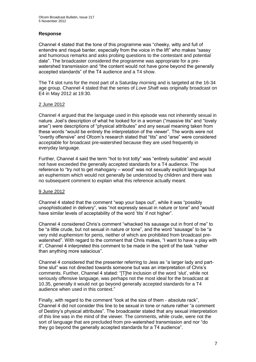#### **Response**

Channel 4 stated that the tone of this programme was "cheeky, witty and full of entendre and risqué banter, especially from the voice in the lift" who makes "sassy and humorous remarks and asks probing questions to the contestant and potential date". The broadcaster considered the programme was appropriate for a prewatershed transmission and "the content would not have gone beyond the generally accepted standards" of the T4 audience and a T4 show.

The T4 slot runs for the most part of a Saturday morning and is targeted at the 16-34 age group. Channel 4 stated that the series of *Love Shaft* was originally broadcast on E4 in May 2012 at 19:30.

#### 2 June 2012

Channel 4 argued that the language used in this episode was not inherently sexual in nature. Joel's description of what he looked for in a woman ("massive tits" and "lovely arse") were descriptions of "physical attributes" and any sexual meaning taken from these words "would be entirely the interpretation of the viewer". The words were not "overtly offensive" and Ofcom's research stated that "tits" and "arse" were considered acceptable for broadcast pre-watershed because they are used frequently in everyday language.

Further, Channel 4 said the term "hot to trot totty" was "entirely suitable" and would not have exceeded the generally accepted standards for a T4 audience. The reference to "try not to get mahogany – wood" was not sexually explicit language but an euphemism which would not generally be understood by children and there was no subsequent comment to explain what this reference actually meant.

#### 9 June 2012

Channel 4 stated that the comment "wap your baps out", while it was "possibly unsophisticated in delivery", was "not expressly sexual in nature or tone" and "would have similar levels of acceptability of the word 'tits' if not higher".

Channel 4 considered Chris's comment "whacked his sausage out in front of me" to be "a little crude, but not sexual in nature or tone", and the word "sausage" to be "a very mild euphemism for penis, neither of which are prohibited from broadcast prewatershed". With regard to the comment that Chris makes, "I want to have a play with it", Channel 4 interpreted this comment to be made in the spirit of the task "rather than anything more salacious".

Channel 4 considered that the presenter referring to Jess as "a larger lady and parttime slut" was not directed towards someone but was an interpretation of Chris's comments. Further, Channel 4 stated: "[T]he inclusion of the word 'slut', while not seriously offensive language, was perhaps not the most ideal for the broadcast at 10.35, generally it would not go beyond generally accepted standards for a T4 audience when used in this context."

Finally, with regard to the comment "look at the size of them - absolute rack", Channel 4 did not consider this line to be sexual in tone or nature rather "a comment of Destiny's physical attributes". The broadcaster stated that any sexual interpretation of this line was in the mind of the viewer. The comments, while crude, were not the sort of language that are precluded from pre-watershed transmission and nor "do they go beyond the generally accepted standards for a T4 audience".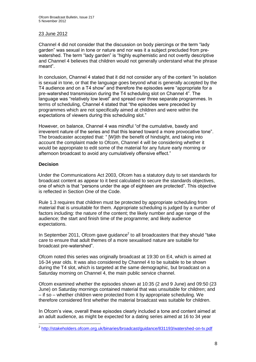#### 23 June 2012

Channel 4 did not consider that the discussion on body piercings or the term "lady garden" was sexual in tone or nature and nor was it a subject precluded from prewatershed. The term "lady garden" is "highly euphemistic and not overtly descriptive and Channel 4 believes that children would not generally understand what the phrase meant".

In conclusion, Channel 4 stated that it did not consider any of the content "in isolation is sexual in tone, or that the language goes beyond what is generally accepted by the T4 audience and on a T4 show" and therefore the episodes were "appropriate for a pre-watershed transmission during the T4 scheduling slot on Channel 4". The language was "relatively low level" and spread over three separate programmes. In terms of scheduling, Channel 4 stated that "the episodes were preceded by programmes which are not specifically aimed at children and were within the expectations of viewers during this scheduling slot."

However, on balance, Channel 4 was mindful "of the cumulative, bawdy and irreverent nature of the series and that this leaned toward a more provocative tone". The broadcaster accepted that: " [W]ith the benefit of hindsight, and taking into account the complaint made to Ofcom, Channel 4 will be considering whether it would be appropriate to edit some of the material for any future early morning or afternoon broadcast to avoid any cumulatively offensive effect."

#### **Decision**

Under the Communications Act 2003, Ofcom has a statutory duty to set standards for broadcast content as appear to it best calculated to secure the standards objectives, one of which is that "persons under the age of eighteen are protected". This objective is reflected in Section One of the Code.

Rule 1.3 requires that children must be protected by appropriate scheduling from material that is unsuitable for them. Appropriate scheduling is judged by a number of factors including: the nature of the content; the likely number and age range of the audience; the start and finish time of the programme; and likely audience expectations.

In September 2011, Ofcom gave guidance $2$  to all broadcasters that they should "take care to ensure that adult themes of a more sexualised nature are suitable for broadcast pre-watershed".

Ofcom noted this series was originally broadcast at 19:30 on E4, which is aimed at 16-34 year olds. It was also considered by Channel 4 to be suitable to be shown during the T4 slot, which is targeted at the same demographic, but broadcast on a Saturday morning on Channel 4, the main public service channel.

Ofcom examined whether the episodes shown at 10:35 (2 and 9 June) and 09:50 (23 June) on Saturday mornings contained material that was unsuitable for children; and – if so – whether children were protected from it by appropriate scheduling. We therefore considered first whether the material broadcast was suitable for children.

In Ofcom's view, overall these episodes clearly included a tone and content aimed at an adult audience, as might be expected for a dating series aimed at 16 to 34 year

 2 <http://stakeholders.ofcom.org.uk/binaries/broadcast/guidance/831193/watershed-on-tv.pdf>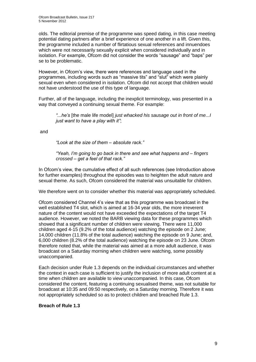olds. The editorial premise of the programme was speed dating, in this case meeting potential dating partners after a brief experience of one another in a lift. Given this, the programme included a number of flirtatious sexual references and innuendoes which were not necessarily sexually explicit when considered individually and in isolation. For example, Ofcom did not consider the words "sausage" and "baps" per se to be problematic.

However, in Ofcom's view, there were references and language used in the programmes, including words such as "massive tits" and "slut" which were plainly sexual even when considered in isolation. Ofcom did not accept that children would not have understood the use of this type of language.

Further, all of the language, including the inexplicit terminology, was presented in a way that conveyed a continuing sexual theme. For example:

*"...he's* [the male life model] *just whacked his sausage out in front of me...I just want to have a play with it"*;

and

*"Look at the size of them – absolute rack."*

*"Yeah, I'm going to go back in there and see what happens and – fingers crossed – get a feel of that rack."*

In Ofcom's view, the cumulative effect of all such references (see Introduction above for further examples) throughout the episodes was to heighten the adult nature and sexual theme. As such, Ofcom considered the material was unsuitable for children.

We therefore went on to consider whether this material was appropriately scheduled.

Ofcom considered Channel 4's view that as this programme was broadcast in the well established T4 slot, which is aimed at 16-34 year olds, the more irreverent nature of the content would not have exceeded the expectations of the target T4 audience. However, we noted the BARB viewing data for these programmes which showed that a significant number of children were viewing. There were 11,000 children aged 4-15 (9.2% of the total audience) watching the episode on 2 June; 14,000 children (11.8% of the total audience) watching the episode on 9 June; and, 6,000 children (8.2% of the total audience) watching the episode on 23 June. Ofcom therefore noted that, while the material was aimed at a more adult audience, it was broadcast on a Saturday morning when children were watching, some possibly unaccompanied.

Each decision under Rule 1.3 depends on the individual circumstances and whether the context in each case is sufficient to justify the inclusion of more adult content at a time when children are available to view unaccompanied. In this case, Ofcom considered the content, featuring a continuing sexualised theme, was not suitable for broadcast at 10:35 and 09:50 respectively, on a Saturday morning. Therefore it was not appropriately scheduled so as to protect children and breached Rule 1.3.

#### **Breach of Rule 1.3**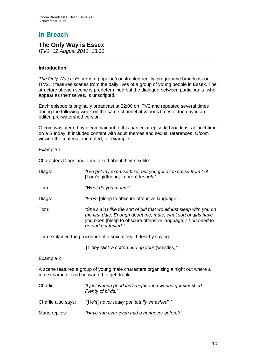# **In Breach**

### **The Only Way is Essex**

*ITV2, 12 August 2012, 13:30*

#### **Introduction**

*The Only Way Is Essex* is a popular 'constructed reality' programme broadcast on ITV2. It features scenes from the daily lives of a group of young people in Essex. The structure of each scene is predetermined but the dialogue between participants, who appear as themselves, is unscripted.

Each episode is originally broadcast at 22:00 on ITV2 and repeated several times during the following week on the same channel at various times of the day in an edited pre-watershed version.

Ofcom was alerted by a complainant to this particular episode broadcast at lunchtime on a Sunday. It included content with adult themes and sexual references. Ofcom viewed the material and noted, for example:

#### Example 1

Characters Diags and Tom talked about their sex life:

| Diags: | "I've got my exercise bike, but you get all exercise from LG<br>[Tom's girlfriend, Lauren] though." |
|--------|-----------------------------------------------------------------------------------------------------|
| Tom:   | "What do you mean?"                                                                                 |

Diags: *"From* [bleep to obscure offensive language]*…"*

Tom: *"She's ain't like the sort of girl that would just sleep with you on the first date. Enough about me, mate, what sort of girls have you been* [bleep to obscure offensive language]*? You need to go and get tested."*

Tom explained the procedure of a sexual health test by saying:

*"*[T]*hey stick a cotton bud up your* (whistles*)"*.

#### Example 2

A scene featured a group of young male characters organising a night out where a male character said he wanted to get drunk.

| Charlie:           | "I just wanna good lad's night out. I wanna get smashed.<br>Plenty of birds." |
|--------------------|-------------------------------------------------------------------------------|
| Charlie also says: | "[He's] never really got 'totally smashed'."                                  |
| Mario replies:     | "Have you ever even had a hangover before?"                                   |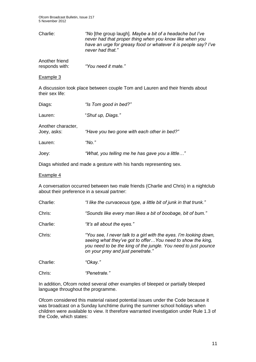Ofcom Broadcast Bulletin, Issue 217 5 November 2012

| Charlie:       | "No [the group laugh]. Maybe a bit of a headache but I've<br>never had that proper thing when you know like when you<br>have an urge for greasy food or whatever it is people say? I've<br>never had that." |
|----------------|-------------------------------------------------------------------------------------------------------------------------------------------------------------------------------------------------------------|
| Another friend |                                                                                                                                                                                                             |

responds with: *"You need it mate."*

Example 3

A discussion took place between couple Tom and Lauren and their friends about their sex life:

| Diags:                            | "Is Tom good in bed?"                           |
|-----------------------------------|-------------------------------------------------|
| Lauren:                           | "Shut up, Diags."                               |
| Another character,<br>Joey, asks: | "Have you two gone with each other in bed?"     |
| Lauren:                           | " $No.$ "                                       |
| Joey:                             | "What, you telling me he has gave you a little" |

Diags whistled and made a gesture with his hands representing sex.

#### Example 4

A conversation occurred between two male friends (Charlie and Chris) in a nightclub about their preference in a sexual partner:

| Charlie: | "I like the curvaceous type, a little bit of junk in that trunk."                                                                                                                                                                       |
|----------|-----------------------------------------------------------------------------------------------------------------------------------------------------------------------------------------------------------------------------------------|
| Chris:   | "Sounds like every man likes a bit of boobage, bit of bum."                                                                                                                                                                             |
| Charlie: | "It's all about the eyes."                                                                                                                                                                                                              |
| Chris:   | "You see, I never talk to a girl with the eyes. I'm looking down,<br>seeing what they've got to offer You need to show the king,<br>you need to be the king of the jungle. You need to just pounce<br>on your prey and just penetrate." |
| Charlie: | "Okay."                                                                                                                                                                                                                                 |
| Chris:   | "Penetrate."                                                                                                                                                                                                                            |

In addition, Ofcom noted several other examples of bleeped or partially bleeped language throughout the programme.

Ofcom considered this material raised potential issues under the Code because it was broadcast on a Sunday lunchtime during the summer school holidays when children were available to view. It therefore warranted investigation under Rule 1.3 of the Code, which states: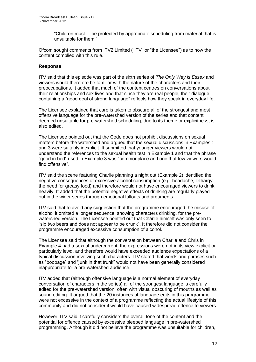"Children must ... be protected by appropriate scheduling from material that is unsuitable for them."

Ofcom sought comments from ITV2 Limited ("ITV" or "the Licensee") as to how the content complied with this rule.

#### **Response**

ITV said that this episode was part of the sixth series of *The Only Way is Essex* and viewers would therefore be familiar with the nature of the characters and their preoccupations. It added that much of the content centres on conversations about their relationships and sex lives and that since they are real people, their dialogue containing a "good deal of strong language" reflects how they speak in everyday life.

The Licensee explained that care is taken to obscure all of the strongest and most offensive language for the pre-watershed version of the series and that content deemed unsuitable for pre-watershed scheduling, due to its theme or explicitness, is also edited.

The Licensee pointed out that the Code does not prohibit discussions on sexual matters before the watershed and argued that the sexual discussions in Examples 1 and 3 were suitably inexplicit. It submitted that younger viewers would not understand the references to the sexual health test in Example 1 and that the phrase "good in bed" used in Example 3 was "commonplace and one that few viewers would find offensive".

ITV said the scene featuring Charlie planning a night out (Example 2) identified the negative consequences of excessive alcohol consumption (e.g. headache, lethargy, the need for greasy food) and therefore would not have encouraged viewers to drink heavily. It added that the potential negative effects of drinking are regularly played out in the wider series through emotional fallouts and arguments.

ITV said that to avoid any suggestion that the programme encouraged the misuse of alcohol it omitted a longer sequence, showing characters drinking, for the prewatershed version. The Licensee pointed out that Charlie himself was only seen to "sip two beers and does not appear to be drunk". It therefore did not consider the programme encouraged excessive consumption of alcohol.

The Licensee said that although the conversation between Charlie and Chris in Example 4 had a sexual undercurrent, the expressions were not in its view explicit or particularly lewd, and therefore would have exceeded audience expectations of a typical discussion involving such characters. ITV stated that words and phrases such as "boobage" and "junk in that trunk" would not have been generally considered inappropriate for a pre-watershed audience.

ITV added that (although offensive language is a normal element of everyday conversation of characters in the series) all of the strongest language is carefully edited for the pre-watershed version, often with visual obscuring of mouths as well as sound editing. It argued that the 20 instances of language edits in this programme were not excessive in the context of a programme reflecting the actual lifestyle of this community and did not consider it would have caused widespread offence to viewers.

However, ITV said it carefully considers the overall tone of the content and the potential for offence caused by excessive bleeped language in pre-watershed programming. Although it did not believe the programme was unsuitable for children,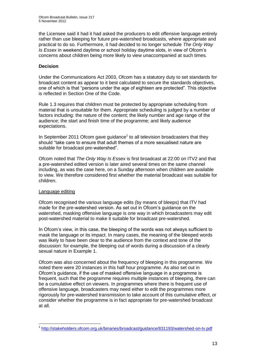the Licensee said it had it had asked the producers to edit offensive language entirely rather than use bleeping for future pre-watershed broadcasts, where appropriate and practical to do so. Furthermore, it had decided to no longer schedule *The Only Way Is Essex* in weekend daytime or school holiday daytime slots, in view of Ofcom's concerns about children being more likely to view unaccompanied at such times.

#### **Decision**

Under the Communications Act 2003, Ofcom has a statutory duty to set standards for broadcast content as appear to it best calculated to secure the standards objectives, one of which is that "persons under the age of eighteen are protected". This objective is reflected in Section One of the Code.

Rule 1.3 requires that children must be protected by appropriate scheduling from material that is unsuitable for them. Appropriate scheduling is judged by a number of factors including: the nature of the content; the likely number and age range of the audience; the start and finish time of the programme; and likely audience expectations.

In September 2011 Ofcom gave guidance $<sup>1</sup>$  to all television broadcasters that they</sup> should "take care to ensure that adult themes of a more sexualised nature are suitable for broadcast pre-watershed".

Ofcom noted that *The Only Way Is Essex* is first broadcast at 22:00 on ITV2 and that a pre-watershed edited version is later aired several times on the same channel including, as was the case here, on a Sunday afternoon when children are available to view. We therefore considered first whether the material broadcast was suitable for children.

#### Language editing

Ofcom recognised the various language edits (by means of bleeps) that ITV had made for the pre-watershed version. As set out in Ofcom's guidance on the watershed, masking offensive language is one way in which broadcasters may edit post-watershed material to make it suitable for broadcast pre-watershed.

In Ofcom's view, in this case, the bleeping of the words was not always sufficient to mask the language or its impact. In many cases, the meaning of the bleeped words was likely to have been clear to the audience from the context and tone of the discussion: for example, the bleeping out of words during a discussion of a clearly sexual nature in Example 1.

Ofcom was also concerned about the frequency of bleeping in this programme. We noted there were 20 instances in this half hour programme. As also set out in Ofcom's guidance, if the use of masked offensive language in a programme is frequent, such that the programme requires multiple instances of bleeping, there can be a cumulative effect on viewers. In programmes where there is frequent use of offensive language, broadcasters may need either to edit the programmes more rigorously for pre-watershed transmission to take account of this cumulative effect, or consider whether the programme is in fact appropriate for pre-watershed broadcast at all.

<sup>1</sup> 1 <http://stakeholders.ofcom.org.uk/binaries/broadcast/guidance/831193/watershed-on-tv.pdf>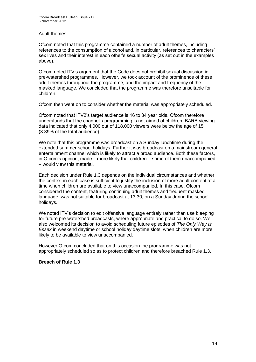#### Adult themes

Ofcom noted that this programme contained a number of adult themes, including references to the consumption of alcohol and, in particular, references to characters' sex lives and their interest in each other's sexual activity (as set out in the examples above).

Ofcom noted ITV's argument that the Code does not prohibit sexual discussion in pre-watershed programmes. However, we took account of the prominence of these adult themes throughout the programme, and the impact and frequency of the masked language. We concluded that the programme was therefore unsuitable for children.

Ofcom then went on to consider whether the material was appropriately scheduled.

Ofcom noted that ITV2's target audience is 16 to 34 year olds. Ofcom therefore understands that the channel's programming is not aimed at children. BARB viewing data indicated that only 4,000 out of 118,000 viewers were below the age of 15 (3.39% of the total audience).

We note that this programme was broadcast on a Sunday lunchtime during the extended summer school holidays. Further it was broadcast on a mainstream general entertainment channel which is likely to attract a broad audience. Both these factors, in Ofcom's opinion, made it more likely that children – some of them unaccompanied – would view this material.

Each decision under Rule 1.3 depends on the individual circumstances and whether the context in each case is sufficient to justify the inclusion of more adult content at a time when children are available to view unaccompanied. In this case, Ofcom considered the content, featuring continuing adult themes and frequent masked language, was not suitable for broadcast at 13:30, on a Sunday during the school holidays.

We noted ITV's decision to edit offensive language entirely rather than use bleeping for future pre-watershed broadcasts, where appropriate and practical to do so. We also welcomed its decision to avoid scheduling future episodes of *The Only Way Is Essex* in weekend daytime or school holiday daytime slots, when children are more likely to be available to view unaccompanied.

However Ofcom concluded that on this occasion the programme was not appropriately scheduled so as to protect children and therefore breached Rule 1.3.

#### **Breach of Rule 1.3**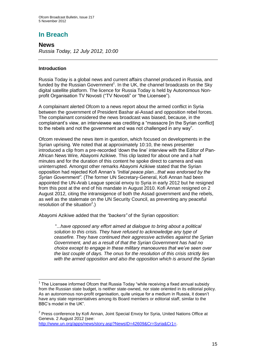## **In Breach**

**News** *Russia Today, 12 July 2012, 10:00*

#### **Introduction**

1

Russia Today is a global news and current affairs channel produced in Russia, and funded by the Russian Government<sup>1</sup>. In the UK, the channel broadcasts on the Sky digital satellite platform. The licence for Russia Today is held by Autonomous Nonprofit Organisation TV Novosti ("TV Novosti" or "the Licensee").

A complainant alerted Ofcom to a news report about the armed conflict in Syria between the government of President Bashar al-Assad and opposition rebel forces. The complainant considered the news broadcast was biased, because, in the complainant's view, an interviewee was crediting a "massacre [in the Syrian conflict] to the rebels and not the government and was not challenged in any way".

Ofcom reviewed the news item in question, which focused on developments in the Syrian uprising. We noted that at approximately 10:10, the news presenter introduced a clip from a pre-recorded 'down the line' interview with the Editor of Pan-African News Wire*,* Abayomi Azikiwe. This clip lasted for about one and a half minutes and for the duration of this content he spoke direct to camera and was uninterrupted. Amongst other remarks Abayomi Azikiwe stated that the Syrian opposition had rejected Kofi Annan's *"initial peace plan...that was endorsed by the Syrian Government"*. (The former UN Secretary-General, Kofi Annan had been appointed the UN-Arab League special envoy to Syria in early 2012 but he resigned from this post at the end of his mandate in August 2010. Kofi Annan resigned on 2 August 2012, citing the intransigence of both the [Assad](http://en.wikipedia.org/wiki/Bashar_al-Assad) government and the [rebels,](http://en.wikipedia.org/wiki/Syrian_opposition) as well as the stalemate on the UN [Security Council,](http://en.wikipedia.org/wiki/United_Nations_Security_Council) as preventing any peaceful resolution of the situation<sup>2</sup>.)

Abayomi Azikiwe added that the *"backers"* of the Syrian opposition:

"...*have opposed any effort aimed at dialogue to bring about a political solution to this crisis. They have refused to acknowledge any type of ceasefire. They have continued their aggressive activities against the Syrian Government, and as a result of that the Syrian Government has had no choice except to engage in these military manoeuvres that we've seen over the last couple of days. The onus for the resolution of this crisis strictly lies with the armed opposition and also the opposition which is around the Syrian* 

[http://www.un.org/apps/news/story.asp?NewsID=42609&Cr=Syria&Cr1=.](http://www.un.org/apps/news/story.asp?NewsID=42609&Cr=Syria&Cr1=)

 $1$  The Licensee informed Ofcom that Russia Today "while receiving a fixed annual subsidy from the Russian state budget, is neither state-owned, nor state oriented in its editorial policy. As an autonomous non-profit organisation, quite unique for a medium in Russia, it doesn't have any state representatives among its Board members or editorial staff, similar to the BBC's model in the UK".

<sup>&</sup>lt;sup>2</sup> Press conference by Kofi Annan, Joint Special Envoy for Syria, United Nations Office at Geneva. 2 August 2012 (see: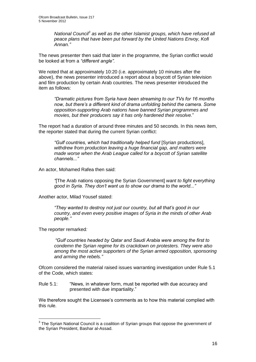*National Council<sup>3</sup> as well as the other Islamist groups, which have refused all peace plans that have been put forward by the United Nations Envoy, Kofi Annan."*

The news presenter then said that later in the programme, the Syrian conflict would be looked at from a *"different angle".*

We noted that at approximately 10:20 (i.e. approximately 10 minutes after the above), the news presenter introduced a report about a boycott of Syrian television and film production by certain Arab countries. The news presenter introduced the item as follows:

*"Dramatic pictures from Syria have been streaming to our TVs for 16 months now, but there's a different kind of drama unfolding behind the camera. Some opposition-supporting Arab nations have banned Syrian programmes and movies, but their producers say it has only hardened their resolve.*"

The report had a duration of around three minutes and 50 seconds. In this news item, the reporter stated that during the current Syrian conflict:

*"Gulf countries, which had traditionally helped fund* [Syrian productions], *withdrew from production leaving a huge financial gap, and matters were made worse when the Arab League called for a boycott of Syrian satellite channels..."*

An actor, Mohamed Rafea then said:

*"*[The Arab nations opposing the Syrian Government] *want to fight everything good in Syria. They don't want us to show our drama to the world..."*

Another actor, Milad Yousef stated:

*"They wanted to destroy not just our country, but all that's good in our country, and even every positive images of Syria in the minds of other Arab people."*

The reporter remarked*:*

1

*"Gulf countries headed by Qatar and Saudi Arabia were among the first to condemn the Syrian regime for its crackdown on protesters. They were also*  among the most active supporters of the Syrian armed opposition, sponsoring *and arming the rebels."*

Ofcom considered the material raised issues warranting investigation under Rule 5.1 of the Code, which states:

Rule 5.1: "News, in whatever form, must be reported with due accuracy and presented with due impartiality."

We therefore sought the Licensee's comments as to how this material complied with this rule.

 $3$  The Syrian National Council is a coalition of Syrian groups that oppose the government of the Syrian President, Bashar al-Assad.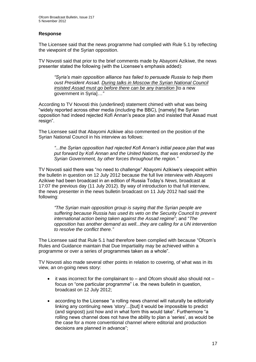#### **Response**

The Licensee said that the news programme had complied with Rule 5.1 by reflecting the viewpoint of the Syrian opposition.

TV Novosti said that prior to the brief comments made by Abayomi Azikiwe, the news presenter stated the following (with the Licensee's emphasis added):

*"Syria's main opposition alliance has failed to persuade Russia to help them oust President Assad. During talks in Moscow the Syrian National Council insisted Assad must go before there can be any transition* [to a new government in Syria]*…"*

According to TV Novosti this (underlined) statement chimed with what was being "widely reported across other media (including the BBC), [namely] the Syrian opposition had indeed rejected Kofi Annan's peace plan and insisted that Assad must resign".

The Licensee said that Abayomi Azikiwe also commented on the position of the Syrian National Council in his interview as follows:

*"...the Syrian opposition had rejected Kofi Annan's initial peace plan that was put forward by Kofi Annan and the United Nations, that was endorsed by the Syrian Government, by other forces throughout the region."*

TV Novosti said there was "no need to challenge" Abayomi Azikiwe's viewpoint within the bulletin in question on 12 July 2012 because the full live interview with Abayomi Azikiwe had been broadcast in an edition of Russia Today's *News,* broadcast at 17:07 the previous day (11 July 2012). By way of introduction to that full interview, the news presenter in the news bulletin broadcast on 11 July 2012 had said the following:

*"The Syrian main opposition group is saying that the Syrian people are suffering because Russia has used its veto on the Security Council to prevent international action being taken against the Assad regime*"; and "*The opposition has another demand as well...they are calling for a UN intervention to resolve the conflict there."*

The Licensee said that Rule 5.1 had therefore been complied with because "Ofcom's Rules and Guidance maintain that Due Impartiality may be achieved within a programme or over a series of programmes taken as a whole".

TV Novosti also made several other points in relation to covering, of what was in its view, an on-going news story:

- $\bullet$  it was incorrect for the complainant to and Ofcom should also should not focus on "one particular programme" i.e. the news bulletin in question, broadcast on 12 July 2012;
- according to the Licensee "a rolling news channel will naturally be editorially linking any continuing news 'story'...[but] it would be impossible to predict (and signpost) just how and in what form this would take". Furthermore "a rolling news channel does not have the ability to plan a 'series', as would be the case for a more conventional channel where editorial and production decisions are planned in advance";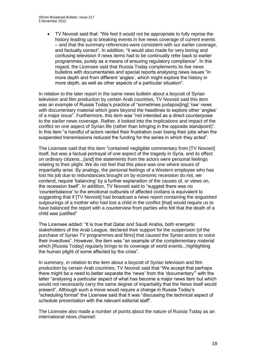TV Novosti said that: "We feel it would not be appropriate to fully reprise the history leading up to breaking events in live news coverage of current events – and that the summary references were consistent with our earlier coverage, and factually correct". In addition, "it would also made for very boring and confusing television if news items had to be continually refer back to earlier programmes, purely as a means of ensuring regulatory compliance". In this regard, the Licensee said that Russia Today complements its live news bulletins with documentaries and special reports analysing news issues "in more depth and from different 'angles', which might explore the history in more depth, as well as other aspects of a particular situation".

In relation to the later report in the same news bulletin about a boycott of Syrian television and film production by certain Arab countries, TV Novosti said this item was an example of Russia Today's practice of "sometimes juxtapos[ing] 'raw' news with documentary material which goes beyond the headlines to explore other 'angles' of a major issue". Furthermore, this item was "not intended as a direct counterpoise to the earlier news coverage. Rather, it looked into the implications and impact of the conflict on one aspect of Syrian life (rather than bringing in the opposite standpoint)". In this item "a handful of actors vented their frustration over losing their jobs when the suspended transmissions reduced the funding for the series in which they acted".

The Licensee said that this item "contained negligible commentary from [TV Novosti] itself, but was a factual portrayal of one aspect of the tragedy in Syria, and its effect on ordinary citizens...[and] the statements from the actors were personal feelings relating to their plight. We do not feel that this piece was one where issues of impartiality arise. By analogy, the personal feelings of a Western employee who has lost his job due to redundancies brought on by economic recession do not, we contend, require 'balancing' by a further explanation of the causes of, or views on, the recession itself". In addition, TV Novosti said to "suggest there was no 'counterbalance' to the emotional outbursts of affected civilians is equivalent to suggesting that if [TV Novosti] had broadcast a news report containing the anguished outpourings of a mother who had lost a child in the conflict [that] would require us to have balanced the report with a counterview from parties who felt that the death of a child was justified"

The Licensee added: "It is true that Qatar and Saudi Arabia, both energetic stakeholders of the Arab League, declared their support for the suspension [of the purchase of Syrian TV programmes and films] that caused the Syrian actors to voice their invectives". However, the item was "an example of the complementary material which [Russia Today] regularly brings to its coverage of world events...highlighting the human plight of some affected by the crisis".

In summary, in relation to the item about a boycott of Syrian television and film production by certain Arab countries, TV Novosti said that "We accept that perhaps there might be a need to better separate the 'news' from the 'documentary'" with the latter "analysing a particular aspect of what has become a major news item but which would not necessarily carry the same degree of impartiality that the News itself would present". Although such a move would require a change in Russia Today's "scheduling format" the Licensee said that it was "discussing the technical aspect of schedule presentation with the relevant editorial staff".

The Licensee also made a number of points about the nature of Russia Today as an international news channel: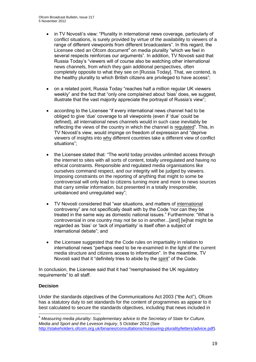- in TV Novosti's view: "Plurality in international news coverage, particularly of conflict situations, is surely provided by virtue of the availability to viewers of a range of different viewpoints from different broadcasters". In this regard, the Licensee cited an Ofcom document<sup>4</sup> on media plurality "which we feel in several respects reinforces our arguments". In addition, TV Novosti said that Russia Today's "viewers will of course also be watching other international news channels, from which they gain additional perspectives, often completely opposite to what they see on [Russia Today]. That, we contend, is the healthy plurality to which British citizens are privileged to have access";
- on a related point, Russia Today "reaches half a million regular UK viewers weekly" and the fact that "only one complained about 'bias' does, we suggest, illustrate that the vast majority appreciate the portrayal of Russia's view";
- according to the Licensee "if every international news channel had to be obliged to give 'due' coverage to all viewpoints (even if 'due' could be defined), all international news channels would in such case inevitably be reflecting the views of the country in which the channel is regulated". This, in TV Novosti's view, would impinge on freedom of expression and "deprive viewers of insights into why different countries take a different view of conflict situations";
- the Licensee stated that: "The world today provides unlimited access through the internet to sites with all sorts of content, totally unregulated and having no ethical constraints. Responsible and regulated media organisations like ourselves command respect, and our integrity will be judged by viewers. Imposing constraints on the reporting of anything that might to some be controversial will only lead to citizens turning more and more to news sources that carry similar information, but presented in a totally irresponsible, unbalanced and unregulated way";
- TV Novosti considered that "war situations, and matters of international controversy" are not specifically dealt with by the Code "nor can they be treated in the same way as domestic national issues." Furthermore: "What is controversial in one country may not be so in another...[and] [w]hat might be regarded as 'bias' or 'lack of impartiality' is itself often a subject of international debate"; and
- the Licensee suggested that the Code rules on impartiality in relation to international news "perhaps need to be re-examined in the light of the current media structure and citizens access to information". In the meantime, TV Novosti said that it "definitely tries to abide by the spirit" of the Code.

In conclusion, the Licensee said that it had "reemphasised the UK regulatory requirements" to all staff.

#### **Decision**

1

Under the standards objectives of the Communications Act 2003 ("the Act"), Ofcom has a statutory duty to set standards for the content of programmes as appear to it best calculated to secure the standards objectives, including that news included in

<sup>4</sup> *Measuring media plurality: Supplementary advice to the Secretary of State for Culture, Media and Sport and the Leveson Inquiry*, 5 October 2012 (See [http://stakeholders.ofcom.org.uk/binaries/consultations/measuring-plurality/letters/advice.pdf\)](http://stakeholders.ofcom.org.uk/binaries/consultations/measuring-plurality/letters/advice.pdf).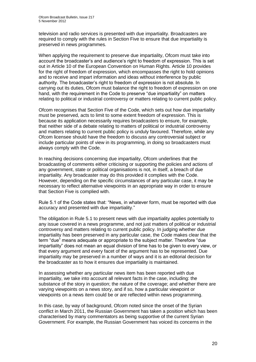television and radio services is presented with due impartiality. Broadcasters are required to comply with the rules in Section Five to ensure that due impartiality is preserved in news programmes.

When applying the requirement to preserve due impartiality. Of com must take into account the broadcaster's and audience's right to freedom of expression. This is set out in Article 10 of the European Convention on Human Rights. Article 10 provides for the right of freedom of expression, which encompasses the right to hold opinions and to receive and impart information and ideas without interference by public authority. The broadcaster's right to freedom of expression is not absolute. In carrying out its duties, Ofcom must balance the right to freedom of expression on one hand, with the requirement in the Code to preserve "due impartiality" on matters relating to political or industrial controversy or matters relating to current public policy.

Ofcom recognises that Section Five of the Code, which sets out how due impartiality must be preserved, acts to limit to some extent freedom of expression. This is because its application necessarily requires broadcasters to ensure, for example, that neither side of a debate relating to matters of political or industrial controversy and matters relating to current public policy is unduly favoured. Therefore, while any Ofcom licensee should have the freedom to discuss any controversial subject or include particular points of view in its programming, in doing so broadcasters must always comply with the Code.

In reaching decisions concerning due impartiality, Ofcom underlines that the broadcasting of comments either criticising or supporting the policies and actions of any government, state or political organisations is not, in itself, a breach of due impartiality. Any broadcaster may do this provided it complies with the Code. However, depending on the specific circumstances of any particular case, it may be necessary to reflect alternative viewpoints in an appropriate way in order to ensure that Section Five is complied with.

Rule 5.1 of the Code states that: "News, in whatever form, must be reported with due accuracy and presented with due impartiality."

The obligation in Rule 5.1 to present news with due impartiality applies potentially to any issue covered in a news programme, and not just matters of political or industrial controversy and matters relating to current public policy. In judging whether due impartiality has been preserved in any particular case, the Code makes clear that the term "due" means adequate or appropriate to the subject matter. Therefore "due impartiality" does not mean an equal division of time has to be given to every view, or that every argument and every facet of the argument has to be represented. Due impartiality may be preserved in a number of ways and it is an editorial decision for the broadcaster as to how it ensures due impartiality is maintained.

In assessing whether any particular news item has been reported with due impartiality, we take into account all relevant facts in the case, including: the substance of the story in question; the nature of the coverage; and whether there are varying viewpoints on a news story, and if so, how a particular viewpoint or viewpoints on a news item could be or are reflected within news programming.

In this case, by way of background, Ofcom noted since the onset of the Syrian conflict in March 2011, the Russian Government has taken a position which has been characterised by many commentators as being supportive of the current Syrian Government. For example, the Russian Government has voiced its concerns in the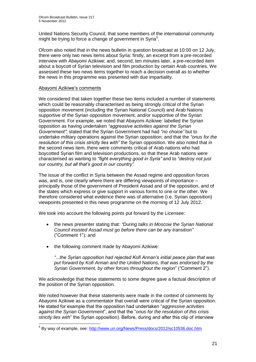United Nations Security Council, that some members of the international community might be trying to force a change of government in Syria<sup>5</sup>.

Ofcom also noted that in the news bulletin in question broadcast at 10:00 on 12 July, there were only two news items about Syria: firstly, an excerpt from a pre-recorded interview with Abayomi Azikiwe; and, second, ten minutes later, a pre-recorded item about a boycott of Syrian television and film production by certain Arab countries. We assessed these two news items together to reach a decision overall as to whether the news in this programme was presented with due impartiality.

#### Abayomi Azikiwe's comments

1

We considered that taken together these two items included a number of statements which could be reasonably characterised as being strongly critical of the Syrian opposition movement (including the Syrian National Council) and Arab Nations supportive of the Syrian opposition movement, and/or supportive of the Syrian Government. For example, we noted that Abayomi Azikiwe: labelled the Syrian opposition as having undertaken *"aggressive activities against the Syrian Government"*; stated that the Syrian Government had had *"no choice"* but to undertake military operations against the Syrian opposition; and that the *"onus for the resolution of this crisis strictly lies with"* the Syrian opposition. We also noted that in the second news item, there were comments critical of Arab nations who had boycotted Syrian film and television productions, so that these Arab nations were characterised as wanting to *"fight everything good in Syria"* and to *"destroy not just our country, but all that's good in our country".*

The issue of the conflict in Syria between the Assad regime and opposition forces was, and is, one clearly where there are differing viewpoints of importance – principally those of the government of President Assad and of the opposition, and of the states which express or give support in various forms to one or the other. We therefore considered what evidence there was of alternative (i.e. Syrian opposition) viewpoints presented in this news programme on the morning of 12 July 2012.

We took into account the following points put forward by the Licensee:

- the news presenter stating that: *"During talks in Moscow the Syrian National Council insisted Assad must go before there can be any transition"*  ("Comment 1"); and
- the following comment made by Abayomi Azikiwe:

*"...the Syrian opposition had rejected Kofi Annan's initial peace plan that was put forward by Kofi Annan and the United Nations, that was endorsed by the Syrian Government, by other forces throughout the region*" ("Comment 2").

We acknowledge that these statements to some degree gave a factual description of the position of the Syrian opposition.

We noted however that these statements were made in the context of comments by Abayomi Azikiwe as a commentator that overall were critical of the Syrian opposition. He stated for example that the opposition had undertaken "*aggressive activities against the Syrian Government*", and that the "*onus for the resolution of this crisis strictly lies with*" the Syrian opposition). Before, during and after this clip of interview

<sup>&</sup>lt;sup>5</sup> By way of example, see:<http://www.un.org/News/Press/docs/2012/sc10536.doc.htm>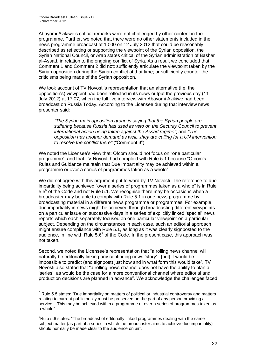1

Abayomi Azikiwe's critical remarks were not challenged by other content in the programme. Further, we noted that there were no other statements included in the news programme broadcast at 10:00 on 12 July 2012 that could be reasonably described as reflecting or supporting the viewpoint of the Syrian opposition, the Syrian National Council, or Arab states critical of the Syrian administration of Bashar al-Assad, in relation to the ongoing conflict of Syria. As a result we concluded that Comment 1 and Comment 2 did not: sufficiently articulate the viewpoint taken by the Syrian opposition during the Syrian conflict at that time; or sufficiently counter the criticisms being made of the Syrian opposition.

We took account of TV Novosti's representation that an alternative (i.e. the opposition's) viewpoint had been reflected in its news output the previous day (11 July 2012) at 17:07, when the full live interview with Abayomi Azikiwe had been broadcast on Russia Today. According to the Licensee during that interview news presenter said:

*"The Syrian main opposition group is saying that the Syrian people are suffering because Russia has used its veto on the Security Council to prevent international action being taken against the Assad regime"*; and *"The opposition has another demand as well...they are calling for a UN intervention to resolve the conflict there"* ("Comment 3").

We noted the Licensee's view that: Ofcom should not focus on "one particular programme"; and that TV Novosti had complied with Rule 5.1 because "Ofcom's Rules and Guidance maintain that Due Impartiality may be achieved within a programme or over a series of programmes taken as a whole".

We did not agree with this argument put forward by TV Novosti. The reference to due impartiality being achieved "over a series of programmes taken as a whole" is in Rule 5.5<sup>6</sup> of the Code and not Rule 5.1. We recognise there may be occasions when a broadcaster may be able to comply with Rule 5.1 in one news programme by broadcasting material in a different news programme or programmes. For example, due impartiality in news might be achieved through broadcasting different viewpoints on a particular issue on successive days in a series of explicitly linked 'special' news reports which each separately focused on one particular viewpoint on a particular subject. Depending on the circumstances in each case, such an editorial approach might ensure compliance with Rule 5.1, as long as it was clearly signposted to the audience, in line with Rule  $5.6<sup>7</sup>$  of the Code. In the present case, this approach was not taken.

Second, we noted the Licensee's representation that "a rolling news channel will naturally be editorially linking any continuing news 'story'...[but] it would be impossible to predict (and signpost) just how and in what form this would take". TV Novosti also stated that "a rolling news channel does not have the ability to plan a 'series', as would be the case for a more conventional channel where editorial and production decisions are planned in advance". We acknowledge the challenges faced

 $6$  Rule 5.5 states: "Due impartiality on matters of political or industrial controversy and matters relating to current public policy must be preserved on the part of any person providing a service... This may be achieved within a programme or over a series of programmes taken as a whole".

 $7$ Rule 5.6 states: "The broadcast of editorially linked programmes dealing with the same subject matter (as part of a series in which the broadcaster aims to achieve due impartiality) should normally be made clear to the audience on air".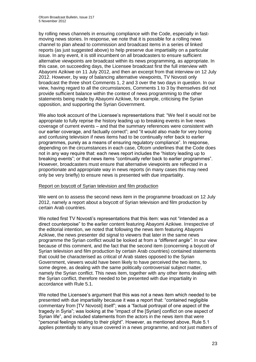by rolling news channels in ensuring compliance with the Code, especially in fastmoving news stories. In response, we note that it is possible for a rolling news channel to plan ahead to commission and broadcast items in a series of linked reports (as just suggested above) to help preserve due impartiality on a particular issue. In any event, it is still incumbent on all broadcasters to ensure sufficient alternative viewpoints are broadcast within its news programming, as appropriate. In this case, on succeeding days, the Licensee broadcast first the full interview with Abayomi Azikiwe on 11 July 2012, and then an excerpt from that interview on 12 July 2012. However, by way of balancing alternative viewpoints, TV Novosti only broadcast the three short Comments 1, 2 and 3 over the two days in question. In our view, having regard to all the circumstances, Comments 1 to 3 by themselves did not provide sufficient balance within the context of news programming to the other statements being made by Abayomi Azikiwe, for example, criticising the Syrian opposition, and supporting the Syrian Government.

We also took account of the Licensee's representations that: "We feel it would not be appropriate to fully reprise the history leading up to breaking events in live news coverage of current events – and that the summary references were consistent with our earlier coverage, and factually correct"; and "it would also made for very boring and confusing television if news items had to be continually refer back to earlier programmes, purely as a means of ensuring regulatory compliance". In response, depending on the circumstances in each case, Ofcom underlines that the Code does not in any way require that: each news report includes the "history leading up to breaking events"; or that news items "continually refer back to earlier programmes". However, broadcasters must ensure that alternative viewpoints are reflected in a proportionate and appropriate way in news reports (in many cases this may need only be very briefly) to ensure news is presented with due impartiality.

#### Report on boycott of Syrian television and film production

We went on to assess the second news item in the programme broadcast on 12 July 2012, namely a report about a boycott of Syrian television and film production by certain Arab countries.

We noted first TV Novosti's representations that this item: was not "intended as a direct counterpoise" to the earlier content featuring Abayomi Azikiwe. Irrespective of the editorial intention, we noted that following the news item featuring Abayomi Azikiwe, the news presenter did signal to viewers that later in the same news programme the Syrian conflict would be looked at from a *"different angle".* In our view because of this comment, and the fact that the second item (concerning a boycott of Syrian television and film production by certain Arab countries) contained statements that could be characterised as critical of Arab states opposed to the Syrian Government, viewers would have been likely to have perceived the two items, to some degree, as dealing with the same politically controversial subject matter, namely the Syrian conflict. This news item, together with any other items dealing with the Syrian conflict, therefore needed to be presented with due impartiality in accordance with Rule 5.1.

We noted the Licensee's argument that this was not a news item which needed to be presented with due impartiality because it was a report that: "contained negligible commentary from [TV Novosti] itself"; was a "factual portrayal of one aspect of the tragedy in Syria"; was looking at the "impact of the [Syrian] conflict on one aspect of Syrian life", and included statements from the actors in the news item that were "personal feelings relating to their plight". However, as mentioned above, Rule 5.1 applies potentially to any issue covered in a news programme, and not just matters of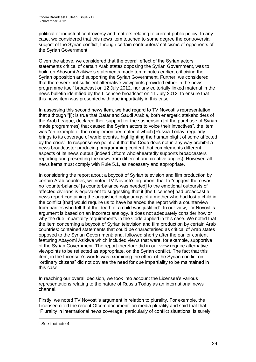political or industrial controversy and matters relating to current public policy. In any case, we considered that this news item touched to some degree the controversial subject of the Syrian conflict, through certain contributors' criticisms of opponents of the Syrian Government.

Given the above, we considered that the overall effect of the Syrian actors' statements critical of certain Arab states opposing the Syrian Government, was to build on Abayomi Azikiwe's statements made ten minutes earlier, criticising the Syrian opposition and supporting the Syrian Government. Further, we considered that there were not sufficient alternative viewpoints provided either in the news programme itself broadcast on 12 July 2012, nor any editorially linked material in the news bulletin identified by the Licensee broadcast on 11 July 2012, to ensure that this news item was presented with due impartiality in this case.

In assessing this second news item, we had regard to TV Novosti's representation that although "[i]t is true that Qatar and Saudi Arabia, both energetic stakeholders of the Arab League, declared their support for the suspension [of the purchase of Syrian made programmes] that caused the Syrian actors to voice their invectives", the item was "an example of the complementary material which [Russia Today] regularly brings to its coverage of world events...highlighting the human plight of some affected by the crisis". In response we point out that the Code does not in any way prohibit a news broadcaster producing programming content that complements different aspects of its news output (indeed Ofcom wholeheartedly supports broadcasters reporting and presenting the news from different and creative angles). However, all news items must comply with Rule 5.1, as necessary and appropriate.

In considering the report about a boycott of Syrian television and film production by certain Arab countries, we noted TV Novosti's argument that to "suggest there was no 'counterbalance' [a counterbalance was needed] to the emotional outbursts of affected civilians is equivalent to suggesting that if [the Licensee] had broadcast a news report containing the anguished outpourings of a mother who had lost a child in the conflict [that] would require us to have balanced the report with a counterview from parties who felt that the death of a child was justified". In our view, TV Novosti's argument is based on an incorrect analogy. It does not adequately consider how or why the due impartiality requirements in the Code applied in this case. We noted that the item concerning a boycott of Syrian television and film production by certain Arab countries: contained statements that could be characterised as critical of Arab states opposed to the Syrian Government; and, followed shortly after the earlier content featuring Abayomi Azikiwe which included views that were, for example, supportive of the Syrian Government. The report therefore did in our view require alternative viewpoints to be reflected as appropriate, on the Syrian conflict. The fact that this item, in the Licensee's words was examining the effect of the Syrian conflict on "ordinary citizens" did not obviate the need for due impartiality to be maintained in this case.

In reaching our overall decision, we took into account the Licensee's various representations relating to the nature of Russia Today as an international news channel.

Firstly, we noted TV Novosti's argument in relation to plurality. For example, the Licensee cited the recent Ofcom document $^8$  on media plurality and said that that: "Plurality in international news coverage, particularly of conflict situations, is surely

 8 See footnote 4.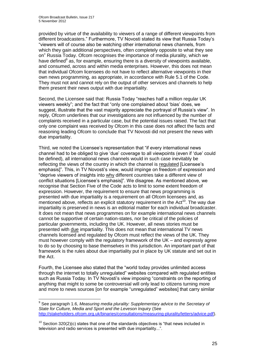1

provided by virtue of the availability to viewers of a range of different viewpoints from different broadcasters." Furthermore, TV Novosti stated its view that Russia Today's "viewers will of course also be watching other international news channels, from which they gain additional perspectives, often completely opposite to what they see on" Russia Today. Ofcom recognises the importance of media plurality, which we have defined<sup>9</sup> as, for example, ensuring there is a diversity of viewpoints available, and consumed, across and within media enterprises. However, this does not mean that individual Ofcom licensees do not have to reflect alternative viewpoints in their own news programming, as appropriate, in accordance with Rule 5.1 of the Code. They must not and cannot rely on the output of other services and channels to help them present their news output with due impartiality.

Second, the Licensee said that: Russia Today "reaches half a million regular UK viewers weekly"; and the fact that "only one complained about 'bias' does, we suggest, illustrate that the vast majority appreciate the portrayal of Russia's view". In reply, Ofcom underlines that our investigations are not influenced by the number of complaints received in a particular case, but the potential issues raised. The fact that only one complaint was received by Ofcom in this case does not affect the facts and reasoning leading Ofcom to conclude that TV Novosti did not present the news with due impartiality.

Third, we noted the Licensee's representation that "if every international news channel had to be obliged to give 'due' coverage to all viewpoints (even if 'due' could be defined), all international news channels would in such case inevitably be reflecting the views of the country in which the channel is regulated [Licensee's emphasis]". This, in TV Novosti's view, would impinge on freedom of expression and "deprive viewers of insights into why different countries take a different view of conflict situations [Licensee's emphasis]". We disagree. As mentioned above, we recognise that Section Five of the Code acts to limit to some extent freedom of expression. However, the requirement to ensure that news programming is presented with due impartiality is a requirement on all Ofcom licensees and, as mentioned above, reflects an explicit statutory requirement in the  $Act^{10}$ . The way due impartiality is preserved in news is an editorial matter for each individual broadcaster. It does not mean that news programmes on for example international news channels cannot be supportive of certain nation-states, nor be critical of the policies of particular governments, including the UK. However, all news stories must be presented with due impartiality. This does not mean that international TV news channels licensed and regulated by Ofcom must reflect the views of the UK. They must however comply with the regulatory framework of the UK – and expressly agree to do so by choosing to base themselves in this jurisdiction. An important part of that framework is the rules about due impartiality put in place by UK statute and set out in the Act.

Fourth, the Licensee also stated that the "world today provides unlimited access through the internet to totally unregulated" websites compared with regulated entities such as Russia Today. In TV Novosti's view imposing "constraints on the reporting of anything that might to some be controversial will only lead to citizens turning more and more to news sources [on for example "unregulated" websites] that carry similar

<sup>&</sup>lt;sup>9</sup> See paragraph 1.6, Measuring media plurality: Supplementary advice to the Secretary of *State for Culture, Media and Sport and the Leveson Inquiry* (See [http://stakeholders.ofcom.org.uk/binaries/consultations/measuring-plurality/letters/advice.pdf\)](http://stakeholders.ofcom.org.uk/binaries/consultations/measuring-plurality/letters/advice.pdf).

 $10$  Section 320(2)(c) states that one of the standards objectives is "that news included in television and radio services is presented with due impartiality...".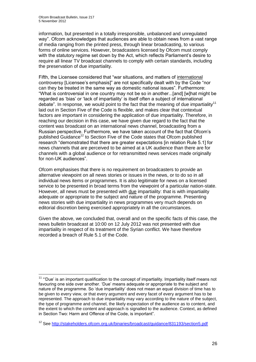information, but presented in a totally irresponsible, unbalanced and unregulated way". Ofcom acknowledges that audiences are able to obtain news from a vast range of media ranging from the printed press, through linear broadcasting, to various forms of online services. However, broadcasters licensed by Ofcom must comply with the statutory regime set down by the Act, which reflects Parliament's desire to require all linear TV broadcast channels to comply with certain standards, including the preservation of due impartiality.

Fifth, the Licensee considered that "war situations, and matters of international controversy [Licensee's emphasis]" are not specifically dealt with by the Code "nor can they be treated in the same way as domestic national issues". Furthermore: "What is controversial in one country may not be so in another...[and] [w]hat might be regarded as 'bias' or 'lack of impartiality' is itself often a subject of international debate". In response, we would point to the fact that the meaning of due impartiality<sup>11</sup> laid out in Section Five of the Code is flexible, and makes clear that contextual factors are important in considering the application of due impartiality. Therefore, in reaching our decision in this case, we have given due regard to the fact that the content was broadcast on an international news channel, broadcasting from a Russian perspective. Furthermore, we have taken account of the fact that Ofcom's published Guidance<sup>12</sup> to Section Five of the Code states that Ofcom published research "demonstrated that there are greater expectations [in relation Rule 5.1] for news channels that are perceived to be aimed at a UK audience than there are for channels with a global audience or for retransmitted news services made originally for non-UK audiences".

Ofcom emphasises that there is no requirement on broadcasters to provide an alternative viewpoint on all news stories or issues in the news, or to do so in all individual news items or programmes. It is also legitimate for news on a licensed service to be presented in broad terms from the viewpoint of a particular nation-state. However, all news must be presented with due impartiality: that is with impartiality adequate or appropriate to the subject and nature of the programme. Presenting news stories with due impartiality in news programmes very much depends on editorial discretion being exercised appropriately in all the circumstances.

Given the above, we concluded that, overall and on the specific facts of this case, the news bulletin broadcast at 10:00 on 12 July 2012 was not presented with due impartiality in respect of its treatment of the Syrian conflict. We have therefore recorded a breach of Rule 5.1 of the Code.

<sup>1</sup> <sup>11</sup> "Due' is an important qualification to the concept of impartiality. Impartiality itself means not favouring one side over another. 'Due' means adequate or appropriate to the subject and nature of the programme. So 'due impartiality' does not mean an equal division of time has to be given to every view, or that every argument and every facet of every argument has to be represented. The approach to due impartiality may vary according to the nature of the subject, the type of programme and channel, the likely expectation of the audience as to content, and the extent to which the content and approach is signalled to the audience. Context, as defined in Section Two: Harm and Offence of the Code, is important".

<sup>&</sup>lt;sup>12</sup> See<http://stakeholders.ofcom.org.uk/binaries/broadcast/guidance/831193/section5.pdf>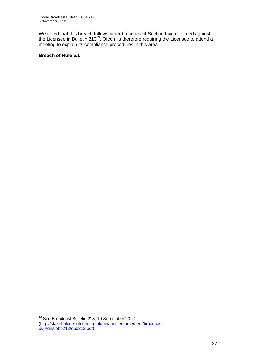We noted that this breach follows other breaches of Section Five recorded against the Licensee in Bulletin  $213^{13}$ . Ofcom is therefore requiring the Licensee to attend a meeting to explain its compliance procedures in this area.

#### **Breach of Rule 5.1**

1

<sup>&</sup>lt;sup>13</sup> See Broadcast Bulletin 213, 10 September 2012 [\(http://stakeholders.ofcom.org.uk/binaries/enforcement/broadcast](http://stakeholders.ofcom.org.uk/binaries/enforcement/broadcast-bulletins/obb213/obb213.pdf)[bulletins/obb213/obb213.pdf\)](http://stakeholders.ofcom.org.uk/binaries/enforcement/broadcast-bulletins/obb213/obb213.pdf).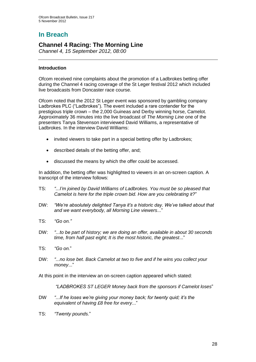# **In Breach**

## **Channel 4 Racing: The Morning Line**

*Channel 4, 15 September 2012, 08:00*

#### **Introduction**

Ofcom received nine complaints about the promotion of a Ladbrokes betting offer during the Channel 4 racing coverage of the St Leger festival 2012 which included live broadcasts from Doncaster race course.

Ofcom noted that the 2012 St Leger event was sponsored by gambling company Ladbrokes PLC ("Ladbrokes"). The event included a rare contender for the prestigious triple crown – the 2,000 Guineas and Derby winning horse, Camelot. Approximately 36 minutes into the live broadcast of *The Morning Line* one of the presenters Tanya Stevenson interviewed David Williams, a representative of Ladbrokes. In the interview David Williams:

- invited viewers to take part in a special betting offer by Ladbrokes;
- described details of the betting offer, and;
- discussed the means by which the offer could be accessed.

In addition, the betting offer was highlighted to viewers in an on-screen caption. A transcript of the interview follows:

- TS: *"...I'm joined by David Williams of Ladbrokes. You must be so pleased that Camelot is here for the triple crown bid. How are you celebrating it?*"
- DW: *"We're absolutely delighted Tanya it's a historic day. We've talked about that and we want everybody, all Morning Line viewers*..."
- TS: *"Go on."*
- DW: *"...to be part of history; we are doing an offer, available in about 30 seconds time, from half past eight; It is the most historic, the greatest*..."
- TS: *"Go on.*"
- DW: *"...no lose bet. Back Camelot at two to five and if he wins you collect your money*..."

At this point in the interview an on-screen caption appeared which stated:

*"LADBROKES ST LEGER Money back from the sponsors if Camelot loses*"

- DW *"...If he loses we're giving your money back; for twenty quid; it's the equivalent of having £8 free for every*..."
- TS: *"Twenty pounds.*"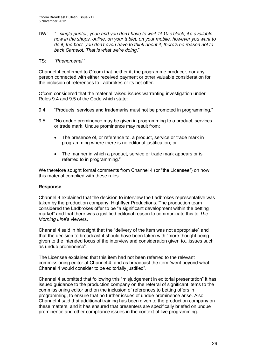DW: *"...single punter, yeah and you don't have to wait 'til 10 o'clock; it's available now in the shops, online, on your tablet, on your mobile, however you want to do it, the best, you don't even have to think about it, there's no reason not to back Camelot. That is what we're doing*."

#### TS: *"Phenomenal*."

Channel 4 confirmed to Ofcom that neither it, the programme producer, nor any person connected with either received payment or other valuable consideration for the inclusion of references to Ladbrokes or its bet offer.

Ofcom considered that the material raised issues warranting investigation under Rules 9.4 and 9.5 of the Code which state:

- 9.4 "Products, services and trademarks must not be promoted in programming."
- 9.5 "No undue prominence may be given in programming to a product, services or trade mark. Undue prominence may result from:
	- The presence of, or reference to, a product, service or trade mark in programming where there is no editorial justification; or
	- The manner in which a product, service or trade mark appears or is referred to in programming."

We therefore sought formal comments from Channel 4 (or "the Licensee") on how this material complied with these rules.

#### **Response**

Channel 4 explained that the decision to interview the Ladbrokes representative was taken by the production company, Highflyer Productions. The production team considered the Ladbrokes offer to be "a significant development within the betting market" and that there was a justified editorial reason to communicate this to *The Morning Line*'s viewers.

Channel 4 said in hindsight that the "delivery of the item was not appropriate" and that the decision to broadcast it should have been taken with "more thought being given to the intended focus of the interview and consideration given to...issues such as undue prominence".

The Licensee explained that this item had not been referred to the relevant commissioning editor at Channel 4, and as broadcast the item "went beyond what Channel 4 would consider to be editorially justified".

Channel 4 submitted that following this "misjudgement in editorial presentation" it has issued guidance to the production company on the referral of significant items to the commissioning editor and on the inclusion of references to betting offers in programming, to ensure that no further issues of undue prominence arise. Also, Channel 4 said that additional training has been given to the production company on these matters, and it has ensured that presenters are specifically briefed on undue prominence and other compliance issues in the context of live programming.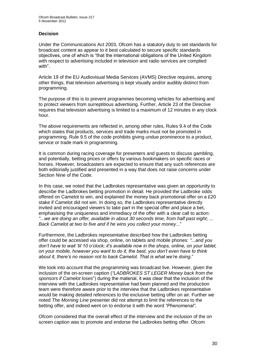#### **Decision**

Under the Communications Act 2003, Ofcom has a statutory duty to set standards for broadcast content as appear to it best calculated to secure specific standards objectives, one of which is "that the international obligations of the United Kingdom with respect to advertising included in television and radio services are complied with".

Article 19 of the EU Audiovisual Media Services (AVMS) Directive requires, among other things, that television advertising is kept visually and/or audibly distinct from programming.

The purpose of this is to prevent programmes becoming vehicles for advertising and to protect viewers from surreptitious advertising. Further, Article 23 of the Directive requires that television advertising is limited to a maximum of 12 minutes in any clock hour.

The above requirements are reflected in, among other rules, Rules 9.4 of the Code which states that products, services and trade marks must not be promoted in programming. Rule 9.5 of the code prohibits giving undue prominence to a product, service or trade mark in programming.

It is common during racing coverage for presenters and guests to discuss gambling, and potentially, betting prices or offers by various bookmakers on specific races or horses. However, broadcasters are expected to ensure that any such references are both editorially justified and presented in a way that does not raise concerns under Section Nine of the Code.

In this case, we noted that the Ladbrokes representative was given an opportunity to describe the Ladbrokes betting promotion in detail. He provided the Ladbroke odds offered on Camelot to win, and explained the money back promotional offer on a £20 stake if Camelot did not win. In doing so, the Ladbrokes representative directly invited and encouraged viewers to take part in the special offer and place a bet, emphasising the uniqueness and immediacy of the offer with a clear call to action: *"...we are doing an offer, available in about 30 seconds time, from half past eight; ... Back Camelot at two to five and if he wins you collect your money.*.."

Furthermore, the Ladbrokes representative described how the Ladbrokes betting offer could be accessed via shop, online, on tablets and mobile phones: *"...and you don't have to wait 'til 10 o'clock; it's available now in the shops, online, on your tablet, on your mobile, however you want to do it, the best, you don't even have to think about it, there's no reason not to back Camelot. That is what we're doing*."

We took into account that the programming was broadcast live. However, given the inclusion of the on-screen caption (*"LADBROKES ST LEGER Money back from the sponsors if Camelot loses*") during the material, it was clear that the inclusion of the interview with the Ladbrokes representative had been planned and the production team were therefore aware prior to the interview that the Ladbrokes representative would be making detailed references to the exclusive betting offer on air. Further we noted *The Morning Line* presenter did not attempt to limit the references to the betting offer, and indeed went on to endorse it with the word *"Phenomenal"*.

Ofcom considered that the overall effect of the interview and the inclusion of the on screen caption was to promote and endorse the Ladbrokes betting offer. Ofcom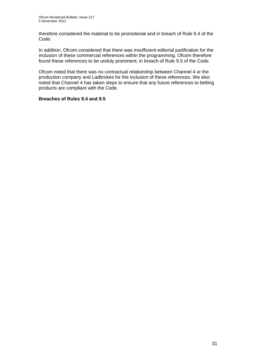therefore considered the material to be promotional and in breach of Rule 9.4 of the Code.

In addition, Ofcom considered that there was insufficient editorial justification for the inclusion of these commercial references within the programming. Ofcom therefore found these references to be unduly prominent, in breach of Rule 9.5 of the Code.

Ofcom noted that there was no contractual relationship between Channel 4 or the production company and Ladbrokes for the inclusion of these references. We also noted that Channel 4 has taken steps to ensure that any future references to betting products are compliant with the Code.

#### **Breaches of Rules 9.4 and 9.5**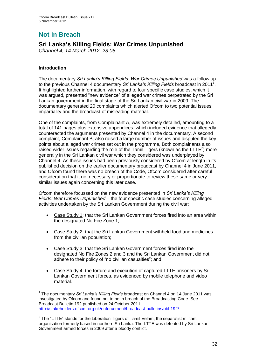# **Not in Breach**

# **Sri Lanka's Killing Fields: War Crimes Unpunished**

*Channel 4, 14 March 2012, 23:05*

#### **Introduction**

1

The documentary *Sri Lanka's Killing Fields: War Crimes Unpunished* was a follow up to the previous Channel 4 documentary Sri Lanka's Killing Fields broadcast in 2011<sup>1</sup>. It highlighted further information, with regard to four specific case studies, which it was argued, presented "new evidence" of alleged war crimes perpetrated by the Sri Lankan government in the final stage of the Sri Lankan civil war in 2009. The documentary generated 20 complaints which alerted Ofcom to two potential issues: impartiality and the broadcast of misleading material.

One of the complaints, from Complainant A, was extremely detailed, amounting to a total of 141 pages plus extensive appendices, which included evidence that allegedly counteracted the arguments presented by Channel 4 in the documentary. A second complaint, Complainant B, also raised a large number of issues and disputed the key points about alleged war crimes set out in the programme, Both complainants also raised wider issues regarding the role of the Tamil Tigers (known as the LTTE<sup>2</sup>) more generally in the Sri Lankan civil war which they considered was underplayed by Channel 4. As these issues had been previously considered by Ofcom at length in its published decision on the earlier documentary broadcast by Channel 4 in June 2011, and Ofcom found there was no breach of the Code, Ofcom considered after careful consideration that it not necessary or proportionate to review these same or very similar issues again concerning this later case.

Ofcom therefore focussed on the new evidence presented in *Sri Lanka's Killing Fields: War Crimes Unpunished* – the four specific case studies concerning alleged activities undertaken by the Sri Lankan Government during the civil war:

- Case Study 1: that the Sri Lankan Government forces fired into an area within the designated No Fire Zone 1;
- Case Study 2: that the Sri Lankan Government withheld food and medicines from the civilian population;
- Case Study 3: that the Sri Lankan Government forces fired into the designated No Fire Zones 2 and 3 and the Sri Lankan Government did not adhere to their policy of "no civilian casualties"; and
- Case Study 4: the torture and execution of captured LTTE prisoners by Sri Lankan Government forces, as evidenced by mobile telephone and video material.

<sup>1</sup> The documentary *Sri Lanka's Killing Fields* broadcast on Channel 4 on 14 June 2011 was investigated by Ofcom and found not to be in breach of the Broadcasting Code. See Broadcast Bulletin 192 published on 24 October 2011: [http://stakeholders.ofcom.org.uk/enforcement/broadcast-bulletins/obb192/.](http://stakeholders.ofcom.org.uk/enforcement/broadcast-bulletins/obb192/)

 $2$  The "LTTE" stands for the Liberation Tigers of Tamil Eelam, the separatist militant organisation formerly based in northern Sri Lanka. The LTTE was defeated by Sri Lankan Government armed forces in 2009 after a bloody conflict.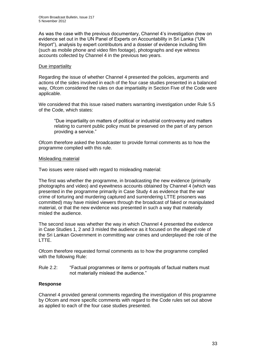As was the case with the previous documentary, Channel 4's investigation drew on evidence set out in the UN Panel of Experts on Accountability in Sri Lanka ("UN Report"), analysis by expert contributors and a dossier of evidence including film (such as mobile phone and video film footage), photographs and eye witness accounts collected by Channel 4 in the previous two years.

#### Due impartiality

Regarding the issue of whether Channel 4 presented the policies, arguments and actions of the sides involved in each of the four case studies presented in a balanced way, Ofcom considered the rules on due impartiality in Section Five of the Code were applicable.

We considered that this issue raised matters warranting investigation under Rule 5.5 of the Code, which states:

"Due impartiality on matters of political or industrial controversy and matters relating to current public policy must be preserved on the part of any person providing a service."

Ofcom therefore asked the broadcaster to provide formal comments as to how the programme complied with this rule.

#### Misleading material

Two issues were raised with regard to misleading material:

The first was whether the programme, in broadcasting the new evidence (primarily photographs and video) and eyewitness accounts obtained by Channel 4 (which was presented in the programme primarily in Case Study 4 as evidence that the war crime of torturing and murdering captured and surrendering LTTE prisoners was committed) may have misled viewers through the broadcast of faked or manipulated material, or that the new evidence was presented in such a way that materially misled the audience.

The second issue was whether the way in which Channel 4 presented the evidence in Case Studies 1, 2 and 3 misled the audience as it focused on the alleged role of the Sri Lankan Government in committing war crimes and underplayed the role of the LTTE.

Ofcom therefore requested formal comments as to how the programme complied with the following Rule:

Rule 2.2: "Factual programmes or items or portrayals of factual matters must not materially mislead the audience."

#### **Response**

Channel 4 provided general comments regarding the investigation of this programme by Ofcom and more specific comments with regard to the Code rules set out above as applied to each of the four case studies presented.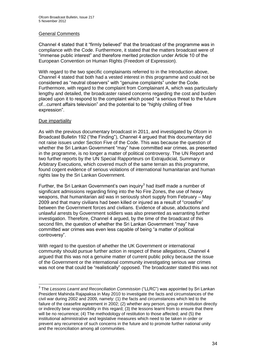#### General Comments

Channel 4 stated that it "firmly believed" that the broadcast of the programme was in compliance with the Code. Furthermore, it stated that the matters broadcast were of "immense public interest" and therefore merited protection under Article 10 of the European Convention on Human Rights (Freedom of Expression).

With regard to the two specific complainants referred to in the Introduction above, Channel 4 stated that both had a vested interest in this programme and could not be considered as "neutral observers" with "genuine complaints" under the Code. Furthermore, with regard to the complaint from Complainant A, which was particularly lengthy and detailed, the broadcaster raised concerns regarding the cost and burden placed upon it to respond to the complaint which posed "a serious threat to the future of...current affairs television" and the potential to be "highly chilling of free expression".

#### Due impartiality

As with the previous documentary broadcast in 2011, and investigated by Ofcom in Broadcast Bulletin 192 ("the Finding"), Channel 4 argued that this documentary did not raise issues under Section Five of the Code. This was because the question of whether the Sri Lankan Government "may" have committed war crimes, as presented in the programme, is no longer a matter of political controversy. The UN Report and two further reports by the UN Special Rapporteurs on Extrajudicial, Summary or Arbitrary Executions, which covered much of the same terrain as this programme, found cogent evidence of serious violations of international humanitarian and human rights law by the Sri Lankan Government.

Further, the Sri Lankan Government's own inquiry $3$  had itself made a number of significant admissions regarding firing into the No Fire Zones, the use of heavy weapons, that humanitarian aid was in seriously short supply from February – May 2009 and that many civilians had been killed or injured as a result of "crossfire" between the Government forces and civilians. Evidence of abuse, abductions and unlawful arrests by Government soldiers was also presented as warranting further investigation. Therefore, Channel 4 argued, by the time of the broadcast of this second film, the question of whether the Sri Lankan Government "may" have committed war crimes was even less capable of being "a matter of political controversy".

With regard to the question of whether the UK Government or international community should pursue further action in respect of these allegations, Channel 4 argued that this was not a genuine matter of current public policy because the issue of the Government or the international community investigating serious war crimes was not one that could be "realistically" opposed. The broadcaster stated this was not

 3 The *Lessons Learnt and Reconciliation Commission* ("LLRC") was appointed by Sri Lankan President Mahinda Rajapaksa in May 2010 to investigate the facts and circumstances of the civil war during 2002 and 2009, namely: (1) the facts and circumstances which led to the failure of the ceasefire agreement in 2002; (2) whether any person, group or institution directly or indirectly bear responsibility in this regard; (3) the lessons learnt from to ensure that there will be no recurrence; (4) The methodology of restitution to those affected; and (5) the institutional administrative and legislative measures which need to be taken in order or prevent any recurrence of such concerns in the future and to promote further national unity and the reconciliation among all communities.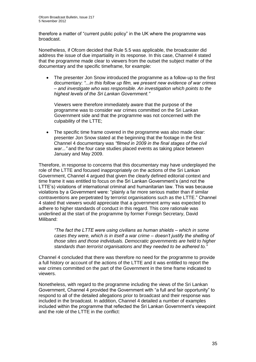therefore a matter of "current public policy" in the UK where the programme was broadcast.

Nonetheless, if Ofcom decided that Rule 5.5 was applicable, the broadcaster did address the issue of due impartiality in its response. In this case, Channel 4 stated that the programme made clear to viewers from the outset the subject matter of the documentary and the specific timeframe, for example:

 The presenter Jon Snow introduced the programme as a follow-up to the first documentary: *"...in this follow up film, we present new evidence of war crimes – and investigate who was responsible. An investigation which points to the highest levels of the Sri Lankan Government."*

Viewers were therefore immediately aware that the purpose of the programme was to consider war crimes committed on the Sri Lankan Government side and that the programme was not concerned with the culpability of the LTTE;

• The specific time frame covered in the programme was also made clear: presenter Jon Snow stated at the beginning that the footage in the first Channel 4 documentary was *"filmed in 2009 in the final stages of the civil war..."* and the four case studies placed events as taking place between January and May 2009.

Therefore, in response to concerns that this documentary may have underplayed the role of the LTTE and focused inappropriately on the actions of the Sri Lankan Government, Channel 4 argued that given the clearly defined editorial context and time frame it was entitled to focus on the Sri Lankan Government's (and not the LTTE's) violations of international criminal and humanitarian law. This was because violations by a Government were: "plainly a far more serious matter than if similar contraventions are perpetrated by terrorist organisations such as the LTTE." Channel 4 stated that viewers would appreciate that a government army was expected to adhere to higher standards of conduct in this regard. This core rationale was underlined at the start of the programme by former Foreign Secretary, David Miliband:

*"The fact the LTTE were using civilians as human shields – which in some cases they were, which is in itself a war crime – doesn't justify the shelling of those sites and those individuals. Democratic governments are held to higher standards than terrorist organisations and they needed to be adhered to."*

Channel 4 concluded that there was therefore no need for the programme to provide a full history or account of the actions of the LTTE and it was entitled to report the war crimes committed on the part of the Government in the time frame indicated to viewers.

Nonetheless, with regard to the programme including the views of the Sri Lankan Government, Channel 4 provided the Government with "a full and fair opportunity" to respond to all of the detailed allegations prior to broadcast and their response was included in the broadcast. In addition, Channel 4 detailed a number of examples included within the programme that reflected the Sri Lankan Government's viewpoint and the role of the LTTE in the conflict: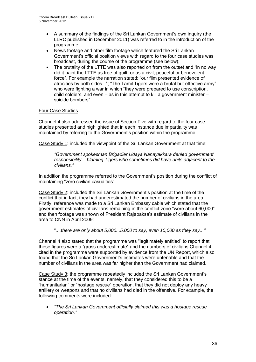- A summary of the findings of the Sri Lankan Government's own inquiry (the LLRC published in December 2011) was referred to in the introduction of the programme;
- News footage and other film footage which featured the Sri Lankan Government's official position views with regard to the four case studies was broadcast, during the course of the programme (see below);
- The brutality of the LTTE was also reported on from the outset and "in no way did it paint the LTTE as free of guilt, or as a civil, peaceful or benevolent force". For example the narration stated: "our film presented evidence of atrocities by both sides..."; "The Tamil Tigers were a brutal but effective army" who were fighting a war in which "they were prepared to use conscription. child soldiers, and even – as in this attempt to kill a government minister – suicide bombers".

#### Four Case Studies

Channel 4 also addressed the issue of Section Five with regard to the four case studies presented and highlighted that in each instance due impartiality was maintained by referring to the Government's position within the programme:

Case Study 1: included the viewpoint of the Sri Lankan Government at that time:

*"Government spokesman Brigadier Udaya Nanayakkara denied government responsibility – blaming Tigers who sometimes did have units adjacent to the civilians."*

In addition the programme referred to the Government's position during the conflict of maintaining "zero civilian casualties".

Case Study 2: included the Sri Lankan Government's position at the time of the conflict that in fact, they had underestimated the number of civilians in the area. Firstly, reference was made to a Sri Lankan Embassy cable which stated that the government estimates of civilians remaining in the conflict zone "were about 60,000" and then footage was shown of President Rajapaksa's estimate of civilians in the area to CNN in April 2009:

"*....there are only about 5,000...5,000 to say, even 10,000 as they say..."*

Channel 4 also stated that the programme was "legitimately entitled" to report that these figures were a "gross underestimate" and the numbers of civilians Channel 4 cited in the programme were supported by evidence from the UN Report, which also found that the Sri Lankan Government's estimates were untenable and that the number of civilians in the area was far higher than the Government had claimed.

Case Study 3: the programme repeatedly included the Sri Lankan Government's stance at the time of the events, namely, that they considered this to be a "humanitarian" or "hostage rescue" operation, that they did not deploy any heavy artillery or weapons and that no civilians had died in the offensive. For example, the following comments were included:

 *"The Sri Lankan Government officially claimed this was a hostage rescue operation."*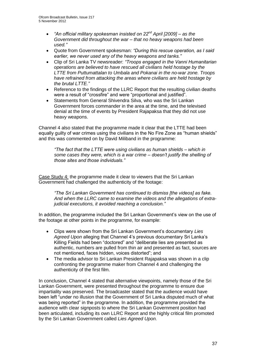- *"An official military spokesman insisted on 22nd April [2009] – as the Government did throughout the war – that no heavy weapons had been used."*
- Quote from Government spokesman: *"During this rescue operation, as I said earlier, we never used any of the heavy weapons and tanks."*
- Clip of Sri Lanka TV newsreader: *"Troops engaged in the Vanni Humanitarian operations are believed to have rescued all civilians held hostage by the LTTE from Puttumattalan to Umbala and Pokanai in the no-war zone. Troops have refrained from attacking the areas where civilians are held hostage by the brutal LTTE."*
- Reference to the findings of the LLRC Report that the resulting civilian deaths were a result of "crossfire" and were "proportional and justified".
- Statements from General Shivendra Silva, who was the Sri Lankan Government forces commander in the area at the time, and the televised denial at the time of events by President Rajapaksa that they did not use heavy weapons.

Channel 4 also stated that the programme made it clear that the LTTE had been equally guilty of war crimes using the civilians in the No Fire Zone as "human shields" and this was commented on by David Miliband in the programme:

*"The fact that the LTTE were using civilians as human shields – which in some cases they were, which is a war crime – doesn't justify the shelling of those sites and those individuals."*

Case Study 4: the programme made it clear to viewers that the Sri Lankan Government had challenged the authenticity of the footage:

*"The Sri Lankan Government has continued to dismiss [the videos] as fake. And when the LLRC came to examine the videos and the allegations of extrajudicial executions, it avoided reaching a conclusion."*

In addition, the programme included the Sri Lankan Government's view on the use of the footage at other points in the programme, for example:

- Clips were shown from the Sri Lankan Government's documentary *Lies Agreed Upon* alleging that Channel 4's previous documentary Sri Lanka's Killing Fields had been "doctored" and "deliberate lies are presented as authentic, numbers are pulled from thin air and presented as fact, sources are not mentioned, faces hidden, voices distorted"; and
- The media advisor to Sri Lankan President Rajapaksa was shown in a clip confronting the programme maker from Channel 4 and challenging the authenticity of the first film.

In conclusion, Channel 4 stated that alternative viewpoints, namely those of the Sri Lankan Government, were presented throughout the programme to ensure due impartiality was preserved. The broadcaster stated that the audience would have been left "under no illusion that the Government of Sri Lanka disputed much of what was being reported" in the programme. In addition, the programme provided the audience with clear signposts to where the Sri Lankan Government position had been articulated, including its own LLRC Report and the highly critical film promoted by the Sri Lankan Government called *Lies Agreed Upon.*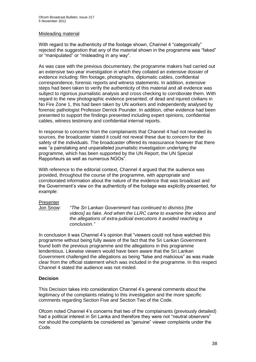#### Misleading material

With regard to the authenticity of the footage shown, Channel 4 "categorically" rejected the suggestion that any of the material shown in the programme was "faked" or "manipulated" or "misleading in any way".

As was case with the previous documentary, the programme makers had carried out an extensive two-year investigation in which they collated an extensive dossier of evidence including: film footage, photographs, diplomatic cables, confidential correspondence, forensic reports and witness statements. In addition, extensive steps had been taken to verify the authenticity of this material and all evidence was subject to rigorous journalistic analysis and cross checking to corroborate them. With regard to the new photographic evidence presented, of dead and injured civilians in No Fire Zone 1, this had been taken by UN workers and independently analysed by forensic pathologist Professor Derrick Pounder. In addition, other evidence had been presented to support the findings presented including expert opinions, confidential cables, witness testimony and confidential internal reports.

In response to concerns from the complainants that Channel 4 had not revealed its sources, the broadcaster stated it could not reveal these due to concern for the safety of the individuals. The broadcaster offered its reassurance however that there was "a painstaking and unparalleled journalistic investigation underlying the programme, which has been supported by the UN Report, the UN Special Rapporteurs as well as numerous NGOs".

With reference to the editorial context, Channel 4 argued that the audience was provided, throughout the course of the programme, with appropriate and corroborated information about the nature of the evidence that was broadcast and the Government's view on the authenticity of the footage was explicitly presented, for example:

#### Presenter

Jon Snow: *"The Sri Lankan Government has continued to dismiss [the videos] as fake. And when the LLRC came to examine the videos and the allegations of extra-judicial executions it avoided reaching a conclusion."*

In conclusion it was Channel 4's opinion that "viewers could not have watched this programme without being fully aware of the fact that the Sri Lankan Government found both the previous programme and the allegations in this programme tendentious. Likewise viewers would have been aware that the Sri Lankan Government challenged the allegations as being "false and malicious" as was made clear from the official statement which was included in the programme. In this respect Channel 4 stated the audience was not misled.

#### **Decision**

This Decision takes into consideration Channel 4's general comments about the legitimacy of the complaints relating to this investigation and the more specific comments regarding Section Five and Section Two of the Code.

Ofcom noted Channel 4's concerns that two of the complainants (previously detailed) had a political interest in Sri Lanka and therefore they were not "neutral observers" nor should the complaints be considered as "genuine" viewer complaints under the Code.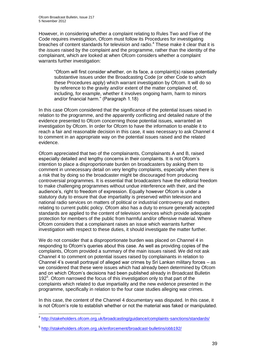However, in considering whether a complaint relating to Rules Two and Five of the Code requires investigation, Ofcom must follow its Procedures for investigating breaches of content standards for television and radio.<sup>4</sup> These make it clear that it is the *issues* raised by the complaint and the programme, rather than the identity of the complainant, which are looked at when Ofcom considers whether a complaint warrants further investigation:

"Ofcom will first consider whether, on its face, a complaint(s) raises potentially substantive issues under the Broadcasting Code (or other Code to which these Procedures apply) which warrant investigation by Ofcom. It will do so by reference to the gravity and/or extent of the matter complained of, including, for example, whether it involves ongoing harm, harm to minors and/or financial harm." (Paragraph 1.18)

In this case Ofcom considered that the significance of the potential issues raised in relation to the programme, and the apparently conflicting and detailed nature of the evidence presented to Ofcom concerning those potential issues, warranted an investigation by Ofcom. In order for Ofcom to have the information to enable it to reach a fair and reasonable decision in this case, it was necessary to ask Channel 4 to comment in an appropriate way on the potential issues raised and the related evidence.

Ofcom appreciated that two of the complainants, Complainants A and B, raised especially detailed and lengthy concerns in their complaints. It is not Ofcom's intention to place a disproportionate burden on broadcasters by asking them to comment in unnecessary detail on very lengthy complaints, especially when there is a risk that by doing so the broadcaster might be discouraged from producing controversial programmes. It is essential that broadcasters have the editorial freedom to make challenging programmes without undue interference with their, and the audience's, right to freedom of expression. Equally however Ofcom is under a statutory duty to ensure that due impartiality is preserved within television and national radio services on matters of political or industrial controversy and matters relating to current public policy. Ofcom also has a duty to ensure generally accepted standards are applied to the content of television services which provide adequate protection for members of the public from harmful and/or offensive material. Where Ofcom considers that a complainant raises an issue which warrants further investigation with respect to these duties, it should investigate the matter further.

We do not consider that a disproportionate burden was placed on Channel 4 in responding to Ofcom's queries about this case. As well as providing copies of the complaints, Ofcom provided a summary of the main issues raised. We did not ask Channel 4 to comment on potential issues raised by complainants in relation to Channel 4's overall portrayal of alleged war crimes by Sri Lankan military forces – as we considered that these were issues which had already been determined by Ofcom and on which Ofcom's decisions had been published already in Broadcast Bulletin 192<sup>5</sup>. Ofcom narrowed the focus of this investigation only to that part of the complaints which related to due impartiality and the new evidence presented in the programme, specifically in relation to the four case studies alleging war crimes.

In this case, the content of the Channel 4 documentary was disputed. In this case, it is not Ofcom's role to establish whether or not the material was faked or manipulated.

1

<sup>&</sup>lt;sup>4</sup> <http://stakeholders.ofcom.org.uk/broadcasting/guidance/complaints-sanctions/standards/>

<sup>5</sup> <http://stakeholders.ofcom.org.uk/enforcement/broadcast-bulletins/obb192/>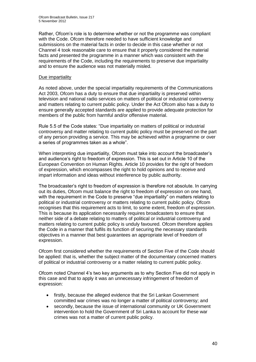Rather, Ofcom's role is to determine whether or not the programme was compliant with the Code. Ofcom therefore needed to have sufficient knowledge and submissions on the material facts in order to decide in this case whether or not Channel 4 took reasonable care to ensure that it properly considered the material facts and presented the programme in a manner which was consistent with the requirements of the Code, including the requirements to preserve due impartiality and to ensure the audience was not materially misled.

#### Due impartiality

As noted above, under the special impartiality requirements of the Communications Act 2003, Ofcom has a duty to ensure that due impartiality is preserved within television and national radio services on matters of political or industrial controversy and matters relating to current public policy. Under the Act Ofcom also has a duty to ensure generally accepted standards are applied to provide adequate protection for members of the public from harmful and/or offensive material.

Rule 5.5 of the Code states: "Due impartiality on matters of political or industrial controversy and matter relating to current public policy must be preserved on the part of any person providing a service. This may be achieved within a programme or over a series of programmes taken as a whole".

When interpreting due impartiality, Ofcom must take into account the broadcaster's and audience's right to freedom of expression. This is set out in Article 10 of the European Convention on Human Rights. Article 10 provides for the right of freedom of expression, which encompasses the right to hold opinions and to receive and impart information and ideas without interference by public authority.

The broadcaster's right to freedom of expression is therefore not absolute. In carrying out its duties, Ofcom must balance the right to freedom of expression on one hand, with the requirement in the Code to preserve "due impartiality" on matters relating to political or industrial controversy or matters relating to current public policy. Ofcom recognises that this requirement acts to limit, to some extent, freedom of expression. This is because its application necessarily requires broadcasters to ensure that neither side of a debate relating to matters of political or industrial controversy and matters relating to current public policy is unduly favoured. Ofcom therefore applies the Code in a manner that fulfils its function of securing the necessary standards objectives in a manner that best guarantees an appropriate level of freedom of expression.

Ofcom first considered whether the requirements of Section Five of the Code should be applied: that is, whether the subject matter of the documentary concerned matters of political or industrial controversy or a matter relating to current public policy.

Ofcom noted Channel 4's two key arguments as to why Section Five did not apply in this case and that to apply it was an unnecessary infringement of freedom of expression:

- firstly, because the alleged evidence that the Sri Lankan Government committed war crimes was no longer a matter of political controversy; and
- secondly, because the issue of international community or UK Government intervention to hold the Government of Sri Lanka to account for these war crimes was not a matter of current public policy.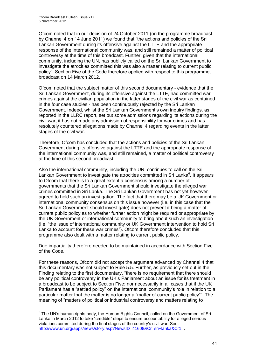1

Ofcom noted that in our decision of 24 October 2011 (on the programme broadcast by Channel 4 on 14 June 2011) we found that "the actions and policies of the Sri Lankan Government during its offensive against the LTTE and the appropriate response of the international community was, and still remained a matter of political controversy at the time of this broadcast. Further, given that the international community, including the UN, has publicly called on the Sri Lankan Government to investigate the atrocities committed this was also a matter relating to current public policy". Section Five of the Code therefore applied with respect to this programme, broadcast on 14 March 2012.

Ofcom noted that the subject matter of this second documentary - evidence that the Sri Lankan Government, during its offensive against the LTTE, had committed war crimes against the civilian population in the latter stages of the civil war as contained in the four case studies - has been continuously rejected by the Sri Lankan Government. Indeed, whilst the Sri Lankan Government's own inquiry findings, as reported in the LLRC report, set out some admissions regarding its actions during the civil war, it has not made any admission of responsibility for war crimes and has resolutely countered allegations made by Channel 4 regarding events in the latter stages of the civil war.

Therefore, Ofcom has concluded that the actions and policies of the Sri Lankan Government during its offensive against the LTTE and the appropriate response of the international community was, and still remained, a matter of political controversy at the time of this second broadcast.

Also the international community, including the UN, continues to call on the Sri Lankan Government to investigate the atrocities committed in Sri Lanka<sup>6</sup>. It appears to Ofcom that there is to a great extent a consensus among a number of governments that the Sri Lankan Government should investigate the alleged war crimes committed in Sri Lanka. The Sri Lankan Government has not yet however agreed to hold such an investigation. The fact that there may be a UK Government or international community consensus on this issue however (i.e. in this case that the Sri Lankan Government should investigate) does not prevent it being a matter of current public policy as to whether further action might be required or appropriate by the UK Government or international community to bring about such an investigation (i.e. "the issue of international community or UK Government intervention to hold Sri Lanka to account for these war crimes"). Ofcom therefore concluded that this programme also dealt with a matter relating to current public policy.

Due impartiality therefore needed to be maintained in accordance with Section Five of the Code.

For these reasons, Ofcom did not accept the argument advanced by Channel 4 that this documentary was not subject to Rule 5.5. Further, as previously set out in the Finding relating to the first documentary, "there is no requirement that there should be any political controversy in the UK's Parliament about an issue for its treatment in a broadcast to be subject to Section Five; nor necessarily in all cases that if the UK Parliament has a "settled policy" on the international community's role in relation to a particular matter that the matter is no longer a "matter of current public policy"". The meaning of "matters of political or industrial controversy and matters relating to

 $6$  The UN's human rights body, the Human Rights Council, called on the Government of Sri Lanka in March 2012 to take "credible" steps to ensure accountability for alleged serious violations committed during the final stages of the country's civil war. See: [http://www.un.org/apps/news/story.asp?NewsID=41608&Cr=sri+lanka&Cr1=.](http://www.un.org/apps/news/story.asp?NewsID=41608&Cr=sri+lanka&Cr1=)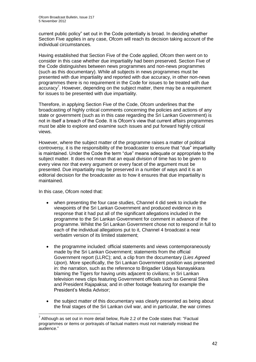current public policy" set out in the Code potentially is broad. In deciding whether Section Five applies in any case, Ofcom will reach its decision taking account of the individual circumstances.

Having established that Section Five of the Code applied, Ofcom then went on to consider in this case whether due impartiality had been preserved. Section Five of the Code distinguishes between news programmes and non-news programmes (such as this documentary). While all subjects in news programmes must be presented with due impartiality and reported with due accuracy, in other non-news programmes there is no requirement in the Code for issues to be treated with due  $\arccos \alpha$ <sup>7</sup>. However, depending on the subject matter, there may be a requirement for issues to be presented with due impartiality.

Therefore, in applying Section Five of the Code, Ofcom underlines that the broadcasting of highly critical comments concerning the policies and actions of any state or government (such as in this case regarding the Sri Lankan Government) is not in itself a breach of the Code. It is Ofcom's view that current affairs programmes must be able to explore and examine such issues and put forward highly critical views.

However, where the subject matter of the programme raises a matter of political controversy, it is the responsibility of the broadcaster to ensure that "due" impartiality is maintained. Under the Code the term "due" means adequate or appropriate to the subject matter. It does not mean that an equal division of time has to be given to every view nor that every argument or every facet of the argument must be presented. Due impartiality may be preserved in a number of ways and it is an editorial decision for the broadcaster as to how it ensures that due impartiality is maintained.

In this case, Ofcom noted that:

- when presenting the four case studies, Channel 4 did seek to include the viewpoints of the Sri Lankan Government and produced evidence in its response that it had put all of the significant allegations included in the programme to the Sri Lankan Government for comment in advance of the programme. Whilst the Sri Lankan Government chose not to respond in full to each of the individual allegations put to it, Channel 4 broadcast a near verbatim version of its limited statement;
- the programme included: official statements and views contemporaneously made by the Sri Lankan Government; statements from the official Government report (LLRC); and, a clip from the documentary (*Lies Agreed Upon*). More specifically, the Sri Lankan Government position was presented in: the narration, such as the reference to Brigadier Udaya Nanayakkara blaming the Tigers for having units adjacent to civilians; in Sri Lankan television news clips featuring Government officials such as General Silva and President Rajapaksa; and in other footage featuring for example the President's Media Advisor;
- the subject matter of this documentary was clearly presented as being about the final stages of the Sri Lankan civil war, and in particular, the war crimes

<sup>1</sup>  $7$  Although as set out in more detail below, Rule 2.2 of the Code states that: "Factual programmes or items or portrayals of factual matters must not materially mislead the audience."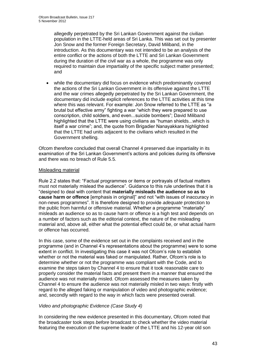allegedly perpetrated by the Sri Lankan Government against the civilian population in the LTTE-held areas of Sri Lanka. This was set out by presenter Jon Snow and the former Foreign Secretary, David Miliband, in the introduction. As this documentary was not intended to be an analysis of the entire conflict or the actions of both the LTTE and Sri Lankan Government during the duration of the civil war as a whole, the programme was only required to maintain due impartiality of the specific subject matter presented; and

 while the documentary did focus on evidence which predominantly covered the actions of the Sri Lankan Government in its offensive against the LTTE and the war crimes allegedly perpetrated by the Sri Lankan Government, the documentary did include explicit references to the LTTE activities at this time where this was relevant. For example: Jon Snow referred to the LTTE as "a brutal but effective army" fighting a war "which they were prepared to use conscription, child soldiers, and even...suicide bombers"; David Miliband highlighted that the LTTE were using civilians as "human shields...which is itself a war crime"; and, the quote from Brigadier Nanayakkara highlighted that the LTTE had units adjacent to the civilians which resulted in the Government shelling.

Ofcom therefore concluded that overall Channel 4 preserved due impartiality in its examination of the Sri Lankan Government's actions and policies during its offensive and there was no breach of Rule 5.5.

#### Misleading material

Rule 2.2 states that: "Factual programmes or items or portrayals of factual matters must not materially mislead the audience". Guidance to this rule underlines that it is "designed to deal with content that **materially misleads the audience so as to cause harm or offence** [emphasis in original]" and not "with issues of inaccuracy in non-news programmes". It is therefore designed to provide *adequate* protection to the public from harmful or offensive material. Whether a programme "materially" misleads an audience so as to cause harm or offence is a high test and depends on a number of factors such as the editorial context, the nature of the misleading material and, above all, either what the potential effect could be, or what actual harm or offence has occurred.

In this case, some of the evidence set out in the complaints received and in the programme (and in Channel 4's representations about the programme) were to some extent in conflict. In investigating this case it was not Ofcom's role to establish whether or not the material was faked or manipulated. Rather, Ofcom's role is to determine whether or not the programme was compliant with the Code, and to examine the steps taken by Channel 4 to ensure that it took reasonable care to properly consider the material facts and present them in a manner that ensured the audience was not materially misled. Ofcom assessed the measures taken by Channel 4 to ensure the audience was not materially misled in two ways: firstly with regard to the alleged faking or manipulation of video and photographic evidence; and, secondly with regard to the way in which facts were presented overall.

#### *Video and photographic Evidence (Case Study 4)*

In considering the new evidence presented in this documentary, Ofcom noted that the broadcaster took steps *before* broadcast to check whether the video material featuring the execution of the supreme leader of the LTTE and his 12-year old son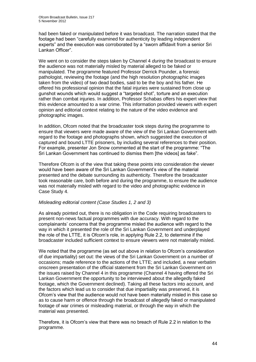had been faked or manipulated before it was broadcast. The narration stated that the footage had been "carefully examined for authenticity by leading independent experts" and the execution was corroborated by a "sworn affidavit from a senior Sri Lankan Officer".

We went on to consider the steps taken by Channel 4 *during* the broadcast to ensure the audience was not materially misled by material alleged to be faked or manipulated. The programme featured Professor Derrick Pounder, a forensic pathologist, reviewing the footage (and the high resolution photographic images taken from the video) of two dead bodies, said to be the boy and his father. He offered his professional opinion that the fatal injuries were sustained from close up gunshot wounds which would suggest a "targeted shot", torture and an execution rather than combat injuries. In addition, Professor Schabas offers his expert view that this evidence amounted to a war crime. This information provided viewers with expert opinion and editorial context relating to the nature of the video evidence and photographic images.

In addition, Ofcom noted that the broadcaster took steps during the programme to ensure that viewers were made aware of the view of the Sri Lankan Government with regard to the footage and photographs shown, which suggested the execution of captured and bound LTTE prisoners, by including several references to their position. For example, presenter Jon Snow commented at the start of the programme: "The Sri Lankan Government has continued to dismiss them [the videos] as fake".

Therefore Ofcom is of the view that taking these points into consideration the viewer would have been aware of the Sri Lankan Government's view of the material presented and the debate surrounding its authenticity. Therefore the broadcaster took reasonable care, both before and during the programme, to ensure the audience was not materially misled with regard to the video and photographic evidence in Case Study 4.

#### *Misleading editorial content (Case Studies 1, 2 and 3)*

As already pointed out, there is no obligation in the Code requiring broadcasters to present non-news factual programmes with due accuracy. With regard to the complainants' concerns that the programme misled the audience with regard to the way in which it presented the role of the Sri Lankan Government and underplayed the role of the LTTE, it is Ofcom's role, in applying Rule 2.2, to determine if the broadcaster included sufficient context to ensure viewers were not materially misled.

We noted that the programme (as set out above in relation to Ofcom's consideration of due impartiality) set out: the views of the Sri Lankan Government on a number of occasions; made reference to the actions of the LTTE; and included, a near verbatim onscreen presentation of the official statement from the Sri Lankan Government on the issues raised by Channel 4 in this programme (Channel 4 having offered the Sri Lankan Government the opportunity to be interviewed about the allegedly faked footage, which the Government declined). Taking all these factors into account, and the factors which lead us to consider that due impartiality was preserved, it is Ofcom's view that the audience would not have been materially misled in this case so as to cause harm or offence through the broadcast of allegedly faked or manipulated footage of war crimes or misleading material, or through the way in which the material was presented.

Therefore, it is Ofcom's view that there was no breach of Rule 2.2 in relation to the programme.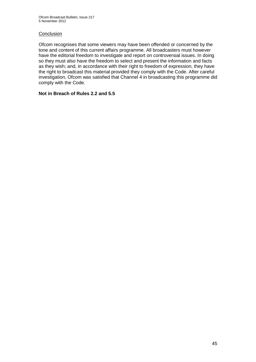#### **Conclusion**

Ofcom recognises that some viewers may have been offended or concerned by the tone and content of this current affairs programme. All broadcasters must however have the editorial freedom to investigate and report on controversial issues. In doing so they must also have the freedom to select and present the information and facts as they wish; and, in accordance with their right to freedom of expression, they have the right to broadcast this material provided they comply with the Code. After careful investigation, Ofcom was satisfied that Channel 4 in broadcasting this programme did comply with the Code.

#### **Not in Breach of Rules 2.2 and 5.5**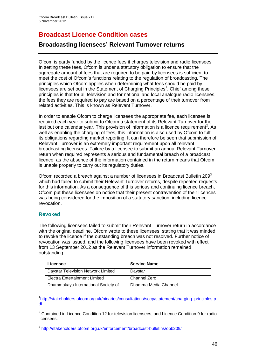# **Broadcast Licence Condition cases**

## **Broadcasting licensees' Relevant Turnover returns**

Ofcom is partly funded by the licence fees it charges television and radio licensees. In setting these fees, Ofcom is under a statutory obligation to ensure that the aggregate amount of fees that are required to be paid by licensees is sufficient to meet the cost of Ofcom's functions relating to the regulation of broadcasting. The principles which Ofcom applies when determining what fees should be paid by licensees are set out in the Statement of Charging Principles<sup>1</sup>. Chief among these principles is that for all television and for national and local analogue radio licensees, the fees they are required to pay are based on a percentage of their turnover from related activities. This is known as Relevant Turnover.

In order to enable Ofcom to charge licensees the appropriate fee, each licensee is required each year to submit to Ofcom a statement of its Relevant Turnover for the last but one calendar year. This provision of information is a licence requirement<sup>2</sup>. As well as enabling the charging of fees, this information is also used by Ofcom to fulfil its obligations regarding market reporting. It can therefore be seen that submission of Relevant Turnover is an extremely important requirement upon all relevant broadcasting licensees. Failure by a licensee to submit an annual Relevant Turnover return when required represents a serious and fundamental breach of a broadcast licence, as the absence of the information contained in the return means that Ofcom is unable properly to carry out its regulatory duties.

Ofcom recorded a breach against a number of licensees in Broadcast Bulletin 209<sup>3</sup> which had failed to submit their Relevant Turnover returns, despite repeated requests for this information. As a consequence of this serious and continuing licence breach, Ofcom put these licensees on notice that their present contravention of their licences was being considered for the imposition of a statutory sanction, including licence revocation.

#### **Revoked**

The following licensees failed to submit their Relevant Turnover return in accordance with the original deadline. Ofcom wrote to these licensees, stating that it was minded to revoke the licence if the outstanding breach was not resolved. Further notice of revocation was issued, and the following licensees have been revoked with effect from 13 September 2012 as the Relevant Turnover information remained outstanding.

| Licensee                            | <b>Service Name</b>  |
|-------------------------------------|----------------------|
| Daystar Television Network Limited  | Daystar              |
| Electra Entertainment Limited       | Channel Zero         |
| Dhammakaya International Society of | Dhamma Media Channel |

1 <sup>1</sup>[http://stakeholders.ofcom.org.uk/binaries/consultations/socp/statement/charging\\_principles.p](http://stakeholders.ofcom.org.uk/binaries/consultations/socp/statement/charging_principles.pdf) [df](http://stakeholders.ofcom.org.uk/binaries/consultations/socp/statement/charging_principles.pdf)

<sup>2</sup> Contained in Licence Condition 12 for television licensees, and Licence Condition 9 for radio licensees.

<sup>3</sup> <http://stakeholders.ofcom.org.uk/enforcement/broadcast-bulletins/obb209/>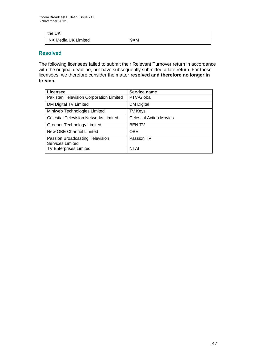| the UK                      |     |
|-----------------------------|-----|
| <b>INX Media UK Limited</b> | 9XM |

#### **Resolved**

The following licensees failed to submit their Relevant Turnover return in accordance with the original deadline, but have subsequently submitted a late return. For these licensees, we therefore consider the matter **resolved and therefore no longer in breach.**

| Licensee                                     | Service name                   |
|----------------------------------------------|--------------------------------|
| Pakistan Television Corporation Limited      | PTV-Global                     |
| DM Digital TV Limited                        | <b>DM Digital</b>              |
| Miniweb Technologies Limited                 | <b>TV Keys</b>                 |
| <b>Celestial Television Networks Limited</b> | <b>Celestial Action Movies</b> |
| <b>Greener Technology Limited</b>            | <b>BENTV</b>                   |
| New OBE Channel Limited                      | <b>OBE</b>                     |
| Passion Broadcasting Television              | Passion TV                     |
| <b>Services Limited</b>                      |                                |
| <b>TV Enterprises Limited</b>                | <b>NTAI</b>                    |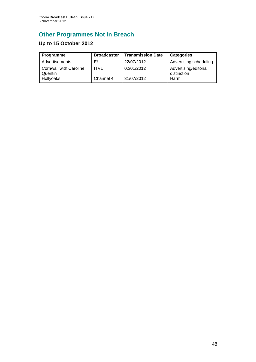# **Other Programmes Not in Breach**

## **Up to 15 October 2012**

| Programme                                | <b>Broadcaster</b> | <b>Transmission Date</b> | <b>Categories</b>                    |
|------------------------------------------|--------------------|--------------------------|--------------------------------------|
| Advertisements                           | E!                 | 22/07/2012               | Advertising scheduling               |
| <b>Cornwall with Caroline</b><br>Quentin | ITV <sub>1</sub>   | 02/01/2012               | Advertising/editorial<br>distinction |
| Hollyoaks                                | Channel 4          | 31/07/2012               | Harm                                 |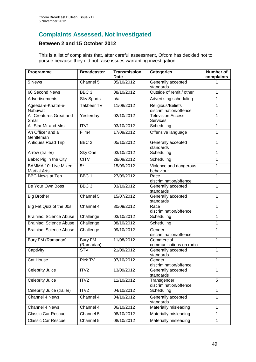## **Complaints Assessed, Not Investigated**

## **Between 2 and 15 October 2012**

This is a list of complaints that, after careful assessment, Ofcom has decided not to pursue because they did not raise issues warranting investigation.

| Programme                                          | <b>Broadcaster</b>          | <b>Transmission</b><br>Date | <b>Categories</b>                           | Number of<br>complaints |
|----------------------------------------------------|-----------------------------|-----------------------------|---------------------------------------------|-------------------------|
| 5 News                                             | Channel 5                   | 05/10/2012                  | Generally accepted<br>standards             |                         |
| 60 Second News                                     | BBC <sub>3</sub>            | 08/10/2012                  | Outside of remit / other                    | 1                       |
| Advertisements                                     | <b>Sky Sports</b>           | n/a                         | Advertising scheduling                      | 1                       |
| Ageeda-e-Khatm-e-<br>Nabuwat                       | <b>Takbeer TV</b>           | 11/08/2012                  | Religious/Beliefs<br>discrimination/offence | 1                       |
| All Creatures Great and<br>Small                   | Yesterday                   | 02/10/2012                  | <b>Television Access</b><br>Services        | 1                       |
| All Star Mr and Mrs                                | ITV1                        | 03/10/2012                  | Scheduling                                  | 1                       |
| An Officer and a<br>Gentleman                      | Film4                       | 17/09/2012                  | Offensive language                          | 1                       |
| Antiques Road Trip                                 | BBC <sub>2</sub>            | 05/10/2012                  | Generally accepted<br>standards             | 1                       |
| Arrow (trailer)                                    | Sky One                     | 03/10/2012                  | Scheduling                                  | $\mathbf{1}$            |
| Babe: Pig in the City                              | <b>CITV</b>                 | 28/09/2012                  | Scheduling                                  | 1                       |
| <b>BAMMA 10: Live Mixed</b><br><b>Martial Arts</b> | $5*$                        | 15/09/2012                  | Violence and dangerous<br>behaviour         | 1                       |
| <b>BBC News at Ten</b>                             | BBC <sub>1</sub>            | 27/09/2012                  | Race<br>discrimination/offence              | 1                       |
| Be Your Own Boss                                   | BBC <sub>3</sub>            | 03/10/2012                  | Generally accepted<br>standards             | 1                       |
| <b>Big Brother</b>                                 | Channel 5                   | 15/07/2012                  | Generally accepted<br>standards             | 1                       |
| Big Fat Quiz of the 00s                            | Channel 4                   | 30/09/2012                  | Race<br>discrimination/offence              | 1                       |
| <b>Brainiac: Science Abuse</b>                     | Challenge                   | 03/10/2012                  | Scheduling                                  | 1                       |
| <b>Brainiac: Science Abuse</b>                     | Challenge                   | 08/10/2012                  | Scheduling                                  | 1                       |
| Brainiac: Science Abuse                            | Challenge                   | 09/10/2012                  | Gender<br>discrimination/offence            | 1                       |
| Bury FM (Ramadan)                                  | <b>Bury FM</b><br>(Ramadan) | 11/08/2012                  | Commercial<br>communications on radio       | $\mathbf{1}$            |
| Captivity                                          | <b>STV</b>                  | 21/09/2012                  | Generally accepted<br>standards             | 1                       |
| Cat House                                          | Pick TV                     | 07/10/2012                  | Gender<br>discrimination/offence            | 1                       |
| Celebrity Juice                                    | ITV <sub>2</sub>            | 13/09/2012                  | Generally accepted<br>standards             | 1                       |
| <b>Celebrity Juice</b>                             | ITV <sub>2</sub>            | 11/10/2012                  | Transgender<br>discrimination/offence       | $\overline{5}$          |
| Celebrity Juice (trailer)                          | ITV2                        | 04/10/2012                  | Scheduling                                  | 1                       |
| Channel 4 News                                     | Channel 4                   | 04/10/2012                  | Generally accepted<br>standards             | 1                       |
| Channel 4 News                                     | Channel 4                   | 06/10/2012                  | Materially misleading                       | 1                       |
| <b>Classic Car Rescue</b>                          | Channel 5                   | 08/10/2012                  | Materially misleading                       | 1                       |
| <b>Classic Car Rescue</b>                          | Channel 5                   | 08/10/2012                  | Materially misleading                       | $\mathbf{1}$            |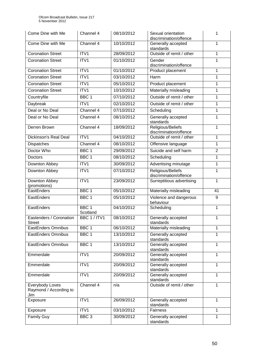| Come Dine with Me                                | Channel 4                    | 08/10/2012 | Sexual orientation<br>1<br>discrimination/offence |                |  |
|--------------------------------------------------|------------------------------|------------|---------------------------------------------------|----------------|--|
| Come Dine with Me                                | Channel 4                    | 10/10/2012 | Generally accepted<br>standards                   | 1              |  |
| <b>Coronation Street</b>                         | ITV1                         | 28/09/2012 | Outside of remit / other                          |                |  |
| <b>Coronation Street</b>                         | ITV1                         | 01/10/2012 | Gender<br>discrimination/offence                  | 1              |  |
| <b>Coronation Street</b>                         | ITV1                         | 01/10/2012 | Product placement                                 | 1              |  |
| <b>Coronation Street</b>                         | ITV1                         | 03/10/2012 | Harm                                              | 1              |  |
| <b>Coronation Street</b>                         | ITV1                         | 05/10/2012 | Product placement                                 | 1              |  |
| <b>Coronation Street</b>                         | ITV1                         | 10/10/2012 | Materially misleading                             | 1              |  |
| Countryfile                                      | BBC <sub>1</sub>             | 07/10/2012 | Outside of remit / other                          | 1              |  |
| Daybreak                                         | ITV1                         | 02/10/2012 | Outside of remit / other                          | 1              |  |
| Deal or No Deal                                  | Channel 4                    | 07/10/2012 | Scheduling                                        | 1              |  |
| Deal or No Deal                                  | Channel 4                    | 08/10/2012 | Generally accepted<br>standards                   | 1              |  |
| Derren Brown                                     | Channel 4                    | 18/09/2012 | Religious/Beliefs<br>discrimination/offence       | 1              |  |
| Dickinson's Real Deal                            | ITV1                         | 04/10/2012 | Outside of remit / other                          | 1              |  |
| <b>Dispatches</b>                                | Channel 4                    | 08/10/2012 | Offensive language                                | 1              |  |
| Doctor Who                                       | BBC <sub>1</sub>             | 29/09/2012 | Suicide and self harm                             | $\overline{2}$ |  |
| Doctors                                          | BBC <sub>1</sub>             | 08/10/2012 | Scheduling                                        |                |  |
| Downton Abbey                                    | ITV1                         | 30/09/2012 | $\mathbf{1}$<br>Advertising minutage              |                |  |
| Downton Abbey                                    | ITV1                         | 07/10/2012 | Religious/Beliefs<br>1<br>discrimination/offence  |                |  |
| Downton Abbey<br>(promotions)                    | ITV1                         | 23/09/2012 | Surreptitious advertising                         | $\mathbf{1}$   |  |
| EastEnders                                       | BBC <sub>1</sub>             | 05/10/2012 | Materially misleading                             | 41             |  |
| EastEnders                                       | BBC <sub>1</sub>             | 05/10/2012 | Violence and dangerous<br>9<br>behaviour          |                |  |
| EastEnders                                       | BBC <sub>1</sub><br>Scotland | 04/10/2012 | 1<br>Scheduling                                   |                |  |
| Eastenders / Coronation<br>Street                | BBC 1 / ITV1                 | 08/10/2012 | Generally accepted<br>standards                   | 1              |  |
| <b>EastEnders Omnibus</b>                        | BBC <sub>1</sub>             | 06/10/2012 | Materially misleading                             | 1              |  |
| EastEnders Omnibus                               | BBC <sub>1</sub>             | 13/10/2012 | $\mathbf{1}$<br>Generally accepted<br>standards   |                |  |
| EastEnders Omnibus                               | BBC <sub>1</sub>             | 13/10/2012 | Generally accepted<br>$\mathbf{1}$<br>standards   |                |  |
| Emmerdale                                        | ITV1                         | 20/09/2012 | Generally accepted<br>1<br>standards              |                |  |
| Emmerdale                                        | ITV1                         | 20/09/2012 | Generally accepted<br>$\mathbf{1}$<br>standards   |                |  |
| Emmerdale                                        | ITV1                         | 20/09/2012 | Generally accepted<br>standards                   | $\mathbf{1}$   |  |
| Everybody Loves<br>Raymond / According to<br>Jim | Channel 4                    | n/a        | Outside of remit / other                          | 1              |  |
| Exposure                                         | ITV1                         | 26/09/2012 | 1<br>Generally accepted<br>standards              |                |  |
| Exposure                                         | ITV1                         | 03/10/2012 | Fairness                                          | 1              |  |
| <b>Family Guy</b>                                | BBC <sub>3</sub>             | 30/09/2012 | Generally accepted<br>standards                   | 1              |  |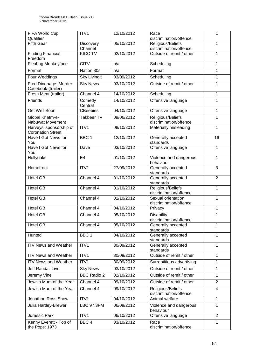| FIFA World Cup<br>Qualifier                         | ITV <sub>1</sub>            | 12/10/2012 | Race<br>discrimination/offence                                | 1              |  |
|-----------------------------------------------------|-----------------------------|------------|---------------------------------------------------------------|----------------|--|
| <b>Fifth Gear</b>                                   | <b>Discovery</b><br>Channel | 05/10/2012 | Religious/Beliefs<br>discrimination/offence                   | 1              |  |
| <b>Finding Financial</b><br>Freedom                 | <b>KICC TV</b>              | 02/10/2012 | Outside of remit / other                                      | 1              |  |
| Fleabag Monkeyface                                  | <b>CITV</b>                 | n/a        | Scheduling                                                    | 1              |  |
| Format                                              | Nation 80s                  | n/a        | Format                                                        | 1              |  |
| Four Weddings                                       | <b>Sky Livingit</b>         | 03/09/2012 | Scheduling                                                    | 1              |  |
| Fred Dinenage: Murder<br>Casebook (trailer)         | <b>Sky News</b>             | 03/10/2012 | Outside of remit / other                                      | 1              |  |
| Fresh Meat (trailer)                                | Channel 4                   | 14/10/2012 | Scheduling                                                    | 1              |  |
| Friends                                             | Comedy<br>Central           | 14/10/2012 | Offensive language                                            | 1              |  |
| <b>Get Well Soon</b>                                | <b>CBeebies</b>             | 04/10/2012 | Offensive language                                            | 1              |  |
| Global Khatm-e-<br>Nabuwat Movement                 | <b>Takbeer TV</b>           | 09/06/2012 | Religious/Beliefs<br>discrimination/offence                   | 1              |  |
| Harveys' sponsorship of<br><b>Coronation Street</b> | ITV1                        | 08/10/2012 | Materially misleading                                         | 1              |  |
| Have I Got News for<br>You                          | BBC <sub>1</sub>            | 12/10/2012 | Generally accepted<br>standards                               | 16             |  |
| Have I Got News for<br>You                          | Dave                        | 03/10/2012 | Offensive language                                            | 1              |  |
| Hollyoaks                                           | E <sub>4</sub>              | 01/10/2012 | Violence and dangerous<br>1<br>behaviour                      |                |  |
| Homefront                                           | ITV1                        | 27/09/2012 | Generally accepted<br>standards                               | $\overline{3}$ |  |
| <b>Hotel GB</b>                                     | Channel 4                   | 01/10/2012 | Generally accepted<br>standards                               | $\overline{2}$ |  |
| <b>Hotel GB</b>                                     | Channel 4                   | 01/10/2012 | Religious/Beliefs<br>discrimination/offence                   | 1              |  |
| <b>Hotel GB</b>                                     | Channel 4                   | 01/10/2012 | 1<br>Sexual orientation<br>discrimination/offence             |                |  |
| <b>Hotel GB</b>                                     | Channel 4                   | 04/10/2012 | Privacy                                                       | 1              |  |
| <b>Hotel GB</b>                                     | Channel 4                   | 05/10/2012 | <b>Disability</b><br>discrimination/offence                   | 1              |  |
| <b>Hotel GB</b>                                     | Channel 4                   | 05/10/2012 | Generally accepted<br>standards                               | 1              |  |
| Hunted                                              | BBC <sub>1</sub>            | 04/10/2012 | Generally accepted<br>standards                               | 1              |  |
| <b>ITV News and Weather</b>                         | ITV1                        | 30/09/2012 | Generally accepted<br>standards                               | 1              |  |
| <b>ITV News and Weather</b>                         | ITV1                        | 30/09/2012 | Outside of remit / other                                      | 1              |  |
| <b>ITV News and Weather</b>                         | ITV1                        | 30/09/2012 | Surreptitious advertising                                     | 1              |  |
| Jeff Randall Live                                   | <b>Sky News</b>             | 03/10/2012 | Outside of remit / other                                      | 1              |  |
| Jeremy Vine                                         | <b>BBC Radio 2</b>          | 02/10/2012 | Outside of remit / other                                      | 1              |  |
| Jewish Mum of the Year                              | Channel 4                   | 09/10/2012 | Outside of remit / other                                      | $\overline{2}$ |  |
| Jewish Mum of the Year                              | Channel 4                   | 09/10/2012 | Religious/Beliefs<br>$\overline{4}$<br>discrimination/offence |                |  |
| Jonathon Ross Show                                  | ITV1                        | 04/10/2012 | Animal welfare                                                | 1              |  |
| Julia Hartley-Brewer                                | <b>LBC 97.3FM</b>           | 06/09/2012 | Violence and dangerous<br>behaviour                           | 1              |  |
| Jurassic Park                                       | ITV1                        | 06/10/2012 | Offensive language                                            | 2              |  |
| Kenny Everett - Top of<br>the Pops: 1973            | BBC <sub>4</sub>            | 03/10/2012 | Race<br>discrimination/offence                                | 1              |  |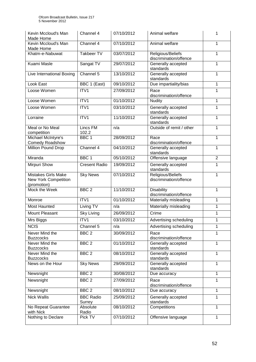| Kevin Mccloud's Man<br>Made Home                                         | Channel 4                  | 07/10/2012 | Animal welfare                                   | 1           |
|--------------------------------------------------------------------------|----------------------------|------------|--------------------------------------------------|-------------|
| Kevin Mccloud's Man<br>Made Home                                         | Channel 4                  | 07/10/2012 | Animal welfare                                   | 1           |
| Khatm-e-Nabuwat                                                          | <b>Takbeer TV</b>          | 03/07/2012 | Religious/Beliefs<br>discrimination/offence      | 1           |
| Kuami Masle                                                              | Sangat TV                  | 29/07/2012 | Generally accepted<br>standards                  |             |
| Live International Boxing                                                | Channel 5                  | 13/10/2012 | Generally accepted<br>standards                  | 1           |
| Look East                                                                | BBC 1 (East)               | 09/10/2012 | Due impartiality/bias                            | 1           |
| Loose Women                                                              | ITV1                       | 27/09/2012 | Race<br>discrimination/offence                   | 1           |
| Loose Women                                                              | ITV1                       | 01/10/2012 | 1<br><b>Nudity</b>                               |             |
| Loose Women                                                              | ITV1                       | 03/10/2012 | Generally accepted<br>standards                  | 1           |
| Lorraine                                                                 | ITV1                       | 11/10/2012 | Generally accepted<br>standards                  | 1           |
| Meal or No Meal<br>competition                                           | Lincs FM<br>102.2          | n/a        | Outside of remit / other                         | 1           |
| Michael McIntyre's<br>Comedy Roadshow                                    | BBC <sub>1</sub>           | 28/09/2012 | Race<br>discrimination/offence                   | 1           |
| Million Pound Drop                                                       | Channel 4                  | 04/10/2012 | $\mathbf 1$<br>Generally accepted<br>standards   |             |
| Miranda                                                                  | BBC <sub>1</sub>           | 05/10/2012 | $\overline{2}$<br>Offensive language             |             |
| <b>Mirpuri Show</b>                                                      | <b>Cresent Radio</b>       | 19/09/2012 | Generally accepted<br>standards                  |             |
| <b>Mistakes Girls Make</b><br><b>New York Competition</b><br>(promotion) | <b>Sky News</b>            | 07/10/2012 | Religious/Beliefs<br>1<br>discrimination/offence |             |
| Mock the Week                                                            | BBC <sub>2</sub>           | 11/10/2012 | Disability<br>discrimination/offence             | 1           |
| Monroe                                                                   | ITV1                       | 01/10/2012 | Materially misleading<br>1                       |             |
| <b>Most Haunted</b>                                                      | Living TV                  | n/a        | Materially misleading                            | 1           |
| Mount Pleasant                                                           | <b>Sky Living</b>          | 26/09/2012 | Crime                                            | 1           |
| Mrs Biggs                                                                | ITV1                       | 03/10/2012 | Advertising scheduling                           | 1           |
| <b>NCIS</b>                                                              | Channel 5                  | n/a        | Advertising scheduling                           | 1           |
| Never Mind the<br><b>Buzzcocks</b>                                       | BBC <sub>2</sub>           | 30/09/2012 | Race<br>discrimination/offence                   | 1           |
| Never Mind the<br><b>Buzzcocks</b>                                       | BBC <sub>2</sub>           | 01/10/2012 | Generally accepted<br>standards                  | $\mathbf 1$ |
| Never Mind the<br><b>Buzzcocks</b>                                       | BBC <sub>2</sub>           | 08/10/2012 | Generally accepted<br>standards                  | 1           |
| News on the Hour                                                         | <b>Sky News</b>            | 29/09/2012 | 1<br>Generally accepted<br>standards             |             |
| Newsnight                                                                | BBC <sub>2</sub>           | 30/08/2012 | Due accuracy                                     | 1           |
| Newsnight                                                                | BBC <sub>2</sub>           | 27/09/2012 | Race<br>discrimination/offence                   | 1           |
| Newsnight                                                                | BBC <sub>2</sub>           | 08/10/2012 | Due accuracy                                     | 1           |
| <b>Nick Wallis</b>                                                       | <b>BBC Radio</b><br>Surrey | 25/09/2012 | Generally accepted<br>standards                  | 1           |
| No Repeat Guarantee<br>with Nick                                         | Absolute<br>Radio          | 08/10/2012 | Competitions                                     | 1           |
| Nothing to Declare                                                       | Pick TV                    | 07/10/2012 | Offensive language                               | 1           |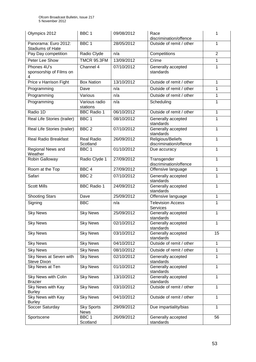| Olympics 2012                                   | BBC <sub>1</sub>                 | 09/08/2012 | Race<br>1<br>discrimination/offence              |                |
|-------------------------------------------------|----------------------------------|------------|--------------------------------------------------|----------------|
| Panorama: Euro 2012:<br><b>Stadiums of Hate</b> | BBC <sub>1</sub>                 | 28/05/2012 | Outside of remit / other                         | 1              |
| Pay Day competition                             | Radio Clyde                      | n/a        | Competitions                                     | $\overline{2}$ |
| Peter Lee Show                                  | <b>TMCR 95.3FM</b>               | 13/09/2012 | Crime                                            | 1              |
| Phones 4U's<br>sponsorship of Films on<br>4     | Channel 4                        | 07/10/2012 | Generally accepted<br>standards                  | 1              |
| Price v Harrison Fight                          | <b>Box Nation</b>                | 13/10/2012 | Outside of remit / other                         | 1              |
| Programming                                     | Dave                             | n/a        | Outside of remit / other                         | 1              |
| Programming                                     | Various                          | n/a        | Outside of remit / other                         | 1              |
| Programming                                     | Various radio<br>stations        | n/a        | Scheduling                                       | 1              |
| Radio 1D                                        | <b>BBC Radio 1</b>               | 06/10/2012 | Outside of remit / other                         | 1              |
| Real Life Stories (trailer)                     | BBC <sub>1</sub>                 | 08/10/2012 | Generally accepted<br>standards                  | 1              |
| Real Life Stories (trailer)                     | BBC <sub>2</sub>                 | 07/10/2012 | Generally accepted<br>standards                  | 1              |
| <b>Real Radio Breakfast</b>                     | <b>Real Radio</b><br>Scotland    | 26/09/2012 | Religious/Beliefs<br>discrimination/offence      | $\mathbf{1}$   |
| Regional News and<br>Weather                    | BBC <sub>1</sub>                 | 01/10/2012 | $\mathbf{1}$<br>Due accuracy                     |                |
| Robin Galloway                                  | Radio Clyde 1                    | 27/09/2012 | Transgender<br>1<br>discrimination/offence       |                |
| Room at the Top                                 | BBC <sub>4</sub>                 | 27/09/2012 | $\mathbf{1}$<br>Offensive language               |                |
| Safari                                          | BBC <sub>2</sub>                 | 07/10/2012 | Generally accepted<br>1<br>standards             |                |
| <b>Scott Mills</b>                              | <b>BBC Radio 1</b>               | 24/09/2012 | Generally accepted<br>$\mathbf{1}$<br>standards  |                |
| <b>Shooting Stars</b>                           | Dave                             | 25/09/2012 | Offensive language<br>$\mathbf{1}$               |                |
| Signing                                         | <b>BBC</b>                       | n/a        | <b>Television Access</b><br>1<br><b>Services</b> |                |
| <b>Sky News</b>                                 | <b>Sky News</b>                  | 25/09/2012 | Generally accepted<br>1<br>standards             |                |
| <b>Sky News</b>                                 | <b>Sky News</b>                  | 02/10/2012 | Generally accepted<br>$\mathbf{1}$<br>standards  |                |
| <b>Sky News</b>                                 | <b>Sky News</b>                  | 03/10/2012 | 15<br>Generally accepted<br>standards            |                |
| <b>Sky News</b>                                 | <b>Sky News</b>                  | 04/10/2012 | Outside of remit / other                         | $\mathbf{1}$   |
| <b>Sky News</b>                                 | <b>Sky News</b>                  | 08/10/2012 | $\mathbf{1}$<br>Outside of remit / other         |                |
| Sky News at Seven with<br><b>Steve Dixon</b>    | <b>Sky News</b>                  | 02/10/2012 | Generally accepted<br>1<br>standards             |                |
| Sky News at Ten                                 | <b>Sky News</b>                  | 01/10/2012 | 1<br>Generally accepted<br>standards             |                |
| Sky News with Colin<br><b>Brazier</b>           | <b>Sky News</b>                  | 13/10/2012 | 1<br>Generally accepted<br>standards             |                |
| Sky News with Kay<br><b>Burley</b>              | <b>Sky News</b>                  | 03/10/2012 | Outside of remit / other<br>1                    |                |
| Sky News with Kay<br><b>Burley</b>              | <b>Sky News</b>                  | 04/10/2012 | Outside of remit / other                         | $\mathbf{1}$   |
| Soccer Saturday                                 | <b>Sky Sports</b><br><b>News</b> | 29/09/2012 | Due impartiality/bias                            | $\mathbf{1}$   |
| Sportscene                                      | BBC <sub>1</sub><br>Scotland     | 26/09/2012 | Generally accepted<br>standards                  | 56             |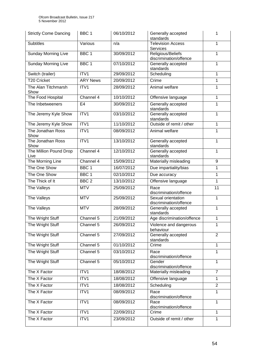| <b>Strictly Come Dancing</b>   | BBC <sub>1</sub>     | 06/10/2012 | Generally accepted<br>standards                   | 1 |
|--------------------------------|----------------------|------------|---------------------------------------------------|---|
| <b>Subtitles</b>               | Various              | n/a        | <b>Television Access</b><br><b>Services</b>       | 1 |
| <b>Sunday Morning Live</b>     | BBC <sub>1</sub>     | 30/09/2012 | Religious/Beliefs<br>discrimination/offence       | 1 |
| <b>Sunday Morning Live</b>     | BBC <sub>1</sub>     | 07/10/2012 | Generally accepted<br>standards                   | 1 |
| Switch (trailer)               | ITV1                 | 29/09/2012 | Scheduling                                        | 1 |
| <b>T20 Cricket</b>             | <b>ARY News</b>      | 20/09/2012 | Crime                                             | 1 |
| The Alan Titchmarsh<br>Show    | ITV1                 | 28/09/2012 | Animal welfare                                    | 1 |
| The Food Hospital              | Channel 4            | 10/10/2012 | Offensive language                                | 1 |
| The Inbetweeners               | E4                   | 30/09/2012 | Generally accepted<br>standards                   | 1 |
| The Jeremy Kyle Show           | ITV1                 | 03/10/2012 | Generally accepted<br>standards                   | 1 |
| The Jeremy Kyle Show           | ITV <sub>1</sub>     | 11/10/2012 | Outside of remit / other                          | 1 |
| The Jonathan Ross<br>Show      | ITV1                 | 08/09/2012 | Animal welfare                                    | 1 |
| The Jonathan Ross<br>Show      | ITV1                 | 13/10/2012 | Generally accepted<br>standards                   | 1 |
| The Million Pound Drop<br>Live | Channel 4            | 12/10/2012 | Generally accepted<br>1<br>standards              |   |
| The Morning Line               | Channel 4            | 15/09/2012 | Materially misleading                             | 9 |
| The One Show                   | BBC <sub>1</sub>     | 16/07/2012 | Due impartiality/bias                             | 1 |
| The One Show                   | BBC <sub>1</sub>     | 02/10/2012 | Due accuracy                                      | 1 |
| The Thick of It                | BBC <sub>2</sub>     | 13/10/2012 | Offensive language                                | 1 |
| The Valleys                    | <b>MTV</b>           | 25/09/2012 | 11<br>Race<br>discrimination/offence              |   |
| The Valleys                    | <b>MTV</b>           | 25/09/2012 | Sexual orientation<br>1<br>discrimination/offence |   |
| The Valleys                    | <b>MTV</b>           | 28/09/2012 | 1<br>Generally accepted<br>standards              |   |
| The Wright Stuff               | Channel 5            | 21/09/2012 | Age discrimination/offence                        | 1 |
| The Wright Stuff               | Channel 5            | 26/09/2012 | Violence and dangerous<br>1<br>behaviour          |   |
| The Wright Stuff               | Channel 5            | 27/09/2012 | $\overline{2}$<br>Generally accepted<br>standards |   |
| The Wright Stuff               | Channel 5            | 01/10/2012 | Crime<br>1                                        |   |
| The Wright Stuff               | Channel <sub>5</sub> | 03/10/2012 | Race<br>1<br>discrimination/offence               |   |
| The Wright Stuff               | Channel 5            | 05/10/2012 | Gender<br>1<br>discrimination/offence             |   |
| The X Factor                   | ITV1                 | 18/08/2012 | $\overline{7}$<br>Materially misleading           |   |
| The X Factor                   | ITV1                 | 18/08/2012 | Offensive language<br>1                           |   |
| The X Factor                   | ITV1                 | 18/08/2012 | $\overline{2}$<br>Scheduling                      |   |
| The X Factor                   | ITV1                 | 08/09/2012 | 1<br>Race<br>discrimination/offence               |   |
| The X Factor                   | ITV1                 | 08/09/2012 | Race<br>1<br>discrimination/offence               |   |
| The X Factor                   | ITV1                 | 22/09/2012 | Crime                                             | 1 |
| The X Factor                   | ITV1                 | 23/09/2012 | Outside of remit / other                          | 1 |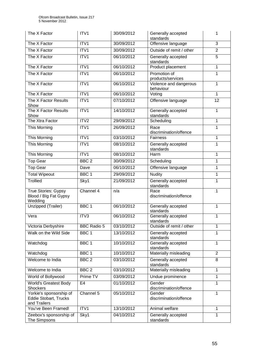| The X Factor                                                            | ITV1               | 30/09/2012 | Generally accepted<br>1<br>standards           |                 |
|-------------------------------------------------------------------------|--------------------|------------|------------------------------------------------|-----------------|
| The X Factor                                                            | ITV1               | 30/09/2012 | Offensive language                             | 3               |
| The X Factor                                                            | ITV1               | 30/09/2012 | Outside of remit / other                       | $\overline{2}$  |
| The X Factor                                                            | ITV1               | 06/10/2012 | Generally accepted<br>standards                | $\overline{5}$  |
| The X Factor                                                            | ITV1               | 06/10/2012 | Product placement                              | 1               |
| The X Factor                                                            | ITV1               | 06/10/2012 | Promotion of<br>1<br>products/services         |                 |
| The X Factor                                                            | ITV1               | 06/10/2012 | 1<br>Violence and dangerous<br>behaviour       |                 |
| The X Factor                                                            | ITV1               | 06/10/2012 | Voting                                         | 1               |
| The X Factor Results<br>Show                                            | ITV1               | 07/10/2012 | Offensive language                             | $\overline{12}$ |
| The X Factor Results<br>Show                                            | ITV1               | 14/10/2012 | Generally accepted<br>standards                | $\mathbf{1}$    |
| The Xtra Factor                                                         | ITV2               | 29/09/2012 | Scheduling                                     | $\mathbf{1}$    |
| This Morning                                                            | ITV1               | 26/09/2012 | Race<br>discrimination/offence                 | 1               |
| This Morning                                                            | ITV1               | 03/10/2012 | Fairness                                       | $\mathbf{1}$    |
| This Morning                                                            | ITV1               | 08/10/2012 | Generally accepted<br>standards                | 1               |
| This Morning                                                            | ITV1               | 08/10/2012 | 1<br>Harm                                      |                 |
| <b>Top Gear</b>                                                         | BBC <sub>2</sub>   | 30/09/2012 | Scheduling<br>1                                |                 |
| <b>Top Gear</b>                                                         | Dave               | 06/10/2012 | Offensive language                             | 1               |
| <b>Total Wipeout</b>                                                    | BBC <sub>1</sub>   | 29/09/2012 | $\mathbf{1}$<br><b>Nudity</b>                  |                 |
| Trollied                                                                | Sky1               | 21/09/2012 | Generally accepted<br>1<br>standards           |                 |
| True Stories: Gypsy<br>Blood / Blg Fat Gypsy<br>Wedding                 | Channel 4          | n/a        | $\mathbf{1}$<br>Race<br>discrimination/offence |                 |
| Unzipped (Trailer)                                                      | BBC <sub>1</sub>   | 06/10/2012 | Generally accepted<br>1<br>standards           |                 |
| Vera                                                                    | ITV3               | 06/10/2012 | Generally accepted<br>1<br>standards           |                 |
| Victoria Derbyshire                                                     | <b>BBC Radio 5</b> | 03/10/2012 | Outside of remit / other<br>1                  |                 |
| Walk on the Wild Side                                                   | BBC <sub>1</sub>   | 13/10/2012 | Generally accepted<br>1<br>standards           |                 |
| Watchdog                                                                | BBC <sub>1</sub>   | 10/10/2012 | Generally accepted<br>1<br>standards           |                 |
| Watchdog                                                                | BBC <sub>1</sub>   | 10/10/2012 | $\overline{2}$<br>Materially misleading        |                 |
| Welcome to India                                                        | BBC <sub>2</sub>   | 03/10/2012 | Generally accepted<br>8<br>standards           |                 |
| Welcome to India                                                        | BBC <sub>2</sub>   | 03/10/2012 | Materially misleading<br>1                     |                 |
| World of Bollywood                                                      | Prime TV           | 03/09/2012 | Undue prominence                               | 1               |
| <b>World's Greatest Body</b><br><b>Shockers</b>                         | E <sub>4</sub>     | 01/10/2012 | Gender<br>1<br>discrimination/offence          |                 |
| Yorkie's sponsorship of<br><b>Eddie Stobart, Trucks</b><br>and Trailers | Channel 5          | 05/10/2012 | Gender<br>1<br>discrimination/offence          |                 |
| You've Been Framed!                                                     | ITV1               | 13/10/2012 | Animal welfare                                 | 1               |
| Zeebox's sponsorship of<br>The Simpsons                                 | Sky1               | 04/10/2012 | Generally accepted<br>standards                | 1               |